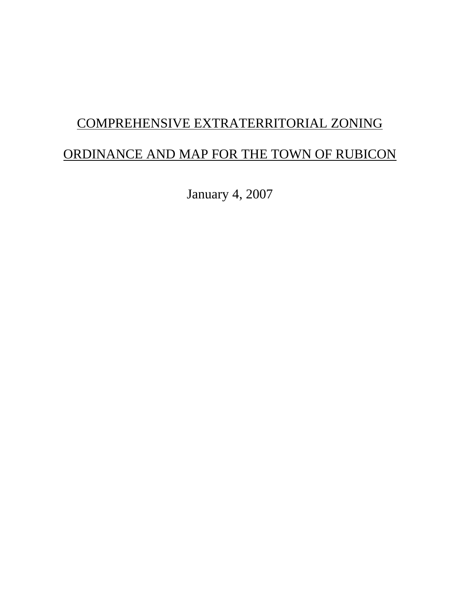# COMPREHENSIVE EXTRATERRITORIAL ZONING ORDINANCE AND MAP FOR THE TOWN OF RUBICON

January 4, 2007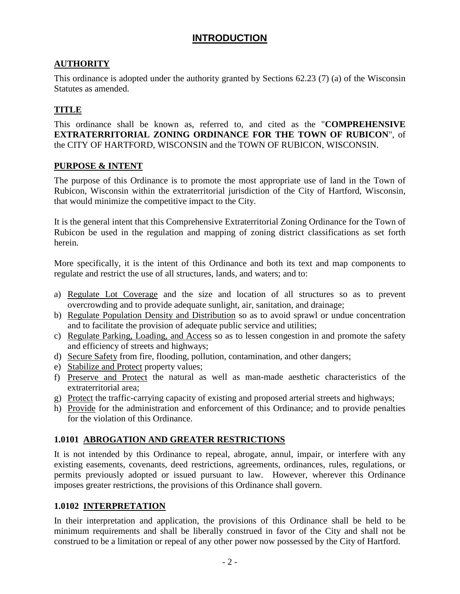# **INTRODUCTION**

# **AUTHORITY**

This ordinance is adopted under the authority granted by Sections 62.23 (7) (a) of the Wisconsin Statutes as amended.

# **TITLE**

This ordinance shall be known as, referred to, and cited as the "**COMPREHENSIVE EXTRATERRITORIAL ZONING ORDINANCE FOR THE TOWN OF RUBICON**", of the CITY OF HARTFORD, WISCONSIN and the TOWN OF RUBICON, WISCONSIN.

## **PURPOSE & INTENT**

The purpose of this Ordinance is to promote the most appropriate use of land in the Town of Rubicon, Wisconsin within the extraterritorial jurisdiction of the City of Hartford, Wisconsin, that would minimize the competitive impact to the City.

It is the general intent that this Comprehensive Extraterritorial Zoning Ordinance for the Town of Rubicon be used in the regulation and mapping of zoning district classifications as set forth herein.

More specifically, it is the intent of this Ordinance and both its text and map components to regulate and restrict the use of all structures, lands, and waters; and to:

- a) Regulate Lot Coverage and the size and location of all structures so as to prevent overcrowding and to provide adequate sunlight, air, sanitation, and drainage;
- b) Regulate Population Density and Distribution so as to avoid sprawl or undue concentration and to facilitate the provision of adequate public service and utilities;
- c) Regulate Parking, Loading, and Access so as to lessen congestion in and promote the safety and efficiency of streets and highways;
- d) Secure Safety from fire, flooding, pollution, contamination, and other dangers;
- e) Stabilize and Protect property values;
- f) Preserve and Protect the natural as well as man-made aesthetic characteristics of the extraterritorial area;
- g) Protect the traffic-carrying capacity of existing and proposed arterial streets and highways;
- h) Provide for the administration and enforcement of this Ordinance; and to provide penalties for the violation of this Ordinance.

# **1.0101 ABROGATION AND GREATER RESTRICTIONS**

It is not intended by this Ordinance to repeal, abrogate, annul, impair, or interfere with any existing easements, covenants, deed restrictions, agreements, ordinances, rules, regulations, or permits previously adopted or issued pursuant to law. However, wherever this Ordinance imposes greater restrictions, the provisions of this Ordinance shall govern.

## **1.0102 INTERPRETATION**

In their interpretation and application, the provisions of this Ordinance shall be held to be minimum requirements and shall be liberally construed in favor of the City and shall not be construed to be a limitation or repeal of any other power now possessed by the City of Hartford.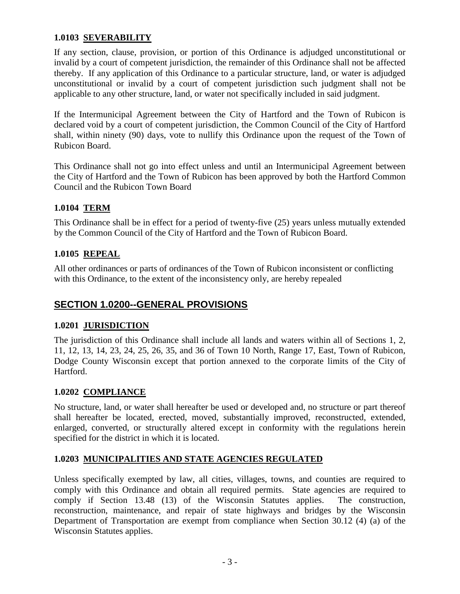## **1.0103 SEVERABILITY**

If any section, clause, provision, or portion of this Ordinance is adjudged unconstitutional or invalid by a court of competent jurisdiction, the remainder of this Ordinance shall not be affected thereby. If any application of this Ordinance to a particular structure, land, or water is adjudged unconstitutional or invalid by a court of competent jurisdiction such judgment shall not be applicable to any other structure, land, or water not specifically included in said judgment.

If the Intermunicipal Agreement between the City of Hartford and the Town of Rubicon is declared void by a court of competent jurisdiction, the Common Council of the City of Hartford shall, within ninety (90) days, vote to nullify this Ordinance upon the request of the Town of Rubicon Board.

This Ordinance shall not go into effect unless and until an Intermunicipal Agreement between the City of Hartford and the Town of Rubicon has been approved by both the Hartford Common Council and the Rubicon Town Board

## **1.0104 TERM**

This Ordinance shall be in effect for a period of twenty-five (25) years unless mutually extended by the Common Council of the City of Hartford and the Town of Rubicon Board.

## **1.0105 REPEAL**

All other ordinances or parts of ordinances of the Town of Rubicon inconsistent or conflicting with this Ordinance, to the extent of the inconsistency only, are hereby repealed

# **SECTION 1.0200--GENERAL PROVISIONS**

## **1.0201 JURISDICTION**

The jurisdiction of this Ordinance shall include all lands and waters within all of Sections 1, 2, 11, 12, 13, 14, 23, 24, 25, 26, 35, and 36 of Town 10 North, Range 17, East, Town of Rubicon, Dodge County Wisconsin except that portion annexed to the corporate limits of the City of Hartford.

## **1.0202 COMPLIANCE**

No structure, land, or water shall hereafter be used or developed and, no structure or part thereof shall hereafter be located, erected, moved, substantially improved, reconstructed, extended, enlarged, converted, or structurally altered except in conformity with the regulations herein specified for the district in which it is located.

## **1.0203 MUNICIPALITIES AND STATE AGENCIES REGULATED**

Unless specifically exempted by law, all cities, villages, towns, and counties are required to comply with this Ordinance and obtain all required permits. State agencies are required to comply if Section 13.48 (13) of the Wisconsin Statutes applies. The construction, reconstruction, maintenance, and repair of state highways and bridges by the Wisconsin Department of Transportation are exempt from compliance when Section 30.12 (4) (a) of the Wisconsin Statutes applies.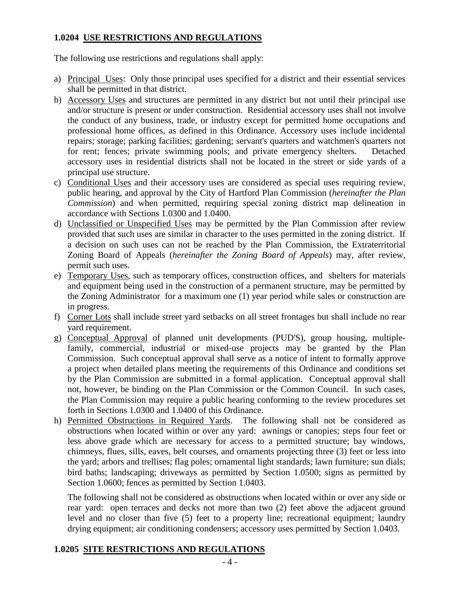## **1.0204 USE RESTRICTIONS AND REGULATIONS**

The following use restrictions and regulations shall apply:

- a) Principal Uses: Only those principal uses specified for a district and their essential services shall be permitted in that district.
- b) Accessory Uses and structures are permitted in any district but not until their principal use and/or structure is present or under construction. Residential accessory uses shall not involve the conduct of any business, trade, or industry except for permitted home occupations and professional home offices, as defined in this Ordinance. Accessory uses include incidental repairs; storage; parking facilities; gardening; servant's quarters and watchmen's quarters not for rent; fences; private swimming pools; and private emergency shelters. Detached accessory uses in residential districts shall not be located in the street or side yards of a principal use structure.
- c) Conditional Uses and their accessory uses are considered as special uses requiring review, public hearing, and approval by the City of Hartford Plan Commission (*hereinafter the Plan Commission*) and when permitted, requiring special zoning district map delineation in accordance with Sections 1.0300 and 1.0400.
- d) Unclassified or Unspecified Uses may be permitted by the Plan Commission after review provided that such uses are similar in character to the uses permitted in the zoning district. If a decision on such uses can not be reached by the Plan Commission, the Extraterritorial Zoning Board of Appeals (*hereinafter the Zoning Board of Appeals*) may, after review, permit such uses.
- e) Temporary Uses, such as temporary offices, construction offices, and shelters for materials and equipment being used in the construction of a permanent structure, may be permitted by the Zoning Administrator for a maximum one (1) year period while sales or construction are in progress.
- f) Corner Lots shall include street yard setbacks on all street frontages but shall include no rear yard requirement.
- g) Conceptual Approval of planned unit developments (PUD'S), group housing, multiplefamily, commercial, industrial or mixed-use projects may be granted by the Plan Commission. Such conceptual approval shall serve as a notice of intent to formally approve a project when detailed plans meeting the requirements of this Ordinance and conditions set by the Plan Commission are submitted in a formal application. Conceptual approval shall not, however, be binding on the Plan Commission or the Common Council. In such cases, the Plan Commission may require a public hearing conforming to the review procedures set forth in Sections 1.0300 and 1.0400 of this Ordinance.
- h) Permitted Obstructions in Required Yards. The following shall not be considered as obstructions when located within or over any yard: awnings or canopies; steps four feet or less above grade which are necessary for access to a permitted structure; bay windows, chimneys, flues, sills, eaves, belt courses, and ornaments projecting three (3) feet or less into the yard; arbors and trellises; flag poles; ornamental light standards; lawn furniture; sun dials; bird baths; landscaping; driveways as permitted by Section 1.0500; signs as permitted by Section 1.0600; fences as permitted by Section 1.0403.

The following shall not be considered as obstructions when located within or over any side or rear yard: open terraces and decks not more than two (2) feet above the adjacent ground level and no closer than five (5) feet to a property line; recreational equipment; laundry drying equipment; air conditioning condensers; accessory uses permitted by Section 1.0403.

## **1.0205 SITE RESTRICTIONS AND REGULATIONS**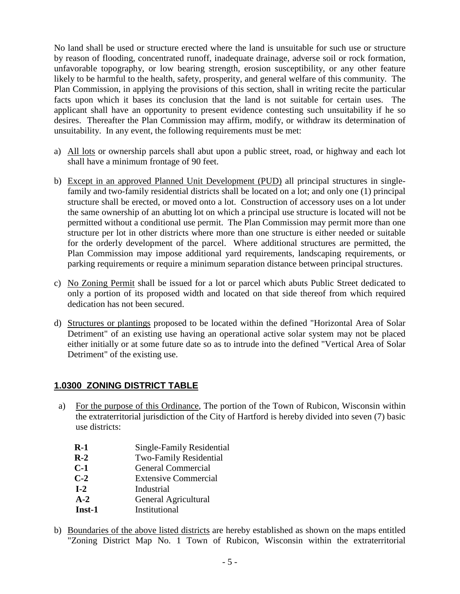No land shall be used or structure erected where the land is unsuitable for such use or structure by reason of flooding, concentrated runoff, inadequate drainage, adverse soil or rock formation, unfavorable topography, or low bearing strength, erosion susceptibility, or any other feature likely to be harmful to the health, safety, prosperity, and general welfare of this community. The Plan Commission, in applying the provisions of this section, shall in writing recite the particular facts upon which it bases its conclusion that the land is not suitable for certain uses. The applicant shall have an opportunity to present evidence contesting such unsuitability if he so desires. Thereafter the Plan Commission may affirm, modify, or withdraw its determination of unsuitability. In any event, the following requirements must be met:

- a) All lots or ownership parcels shall abut upon a public street, road, or highway and each lot shall have a minimum frontage of 90 feet.
- b) Except in an approved Planned Unit Development (PUD) all principal structures in singlefamily and two-family residential districts shall be located on a lot; and only one (1) principal structure shall be erected, or moved onto a lot. Construction of accessory uses on a lot under the same ownership of an abutting lot on which a principal use structure is located will not be permitted without a conditional use permit. The Plan Commission may permit more than one structure per lot in other districts where more than one structure is either needed or suitable for the orderly development of the parcel. Where additional structures are permitted, the Plan Commission may impose additional yard requirements, landscaping requirements, or parking requirements or require a minimum separation distance between principal structures.
- c) No Zoning Permit shall be issued for a lot or parcel which abuts Public Street dedicated to only a portion of its proposed width and located on that side thereof from which required dedication has not been secured.
- d) Structures or plantings proposed to be located within the defined "Horizontal Area of Solar Detriment" of an existing use having an operational active solar system may not be placed either initially or at some future date so as to intrude into the defined "Vertical Area of Solar Detriment" of the existing use.

# **1.0300 ZONING DISTRICT TABLE**

- a) For the purpose of this Ordinance, The portion of the Town of Rubicon, Wisconsin within the extraterritorial jurisdiction of the City of Hartford is hereby divided into seven (7) basic use districts:
	- **R-1** Single-Family Residential
	- **R-2** Two-Family Residential
	- **C-1** General Commercial
	- **C-2** Extensive Commercial
	- **I-2** Industrial
	- **A-2** General Agricultural
	- **Inst-1** Institutional
- b) Boundaries of the above listed districts are hereby established as shown on the maps entitled "Zoning District Map No. 1 Town of Rubicon, Wisconsin within the extraterritorial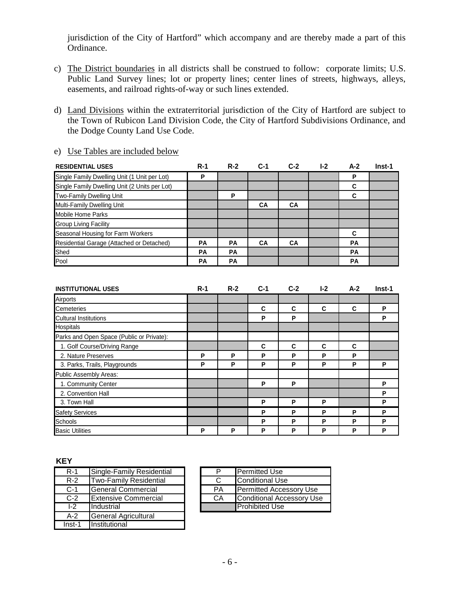jurisdiction of the City of Hartford" which accompany and are thereby made a part of this Ordinance.

- c) The District boundaries in all districts shall be construed to follow: corporate limits; U.S. Public Land Survey lines; lot or property lines; center lines of streets, highways, alleys, easements, and railroad rights-of-way or such lines extended.
- d) Land Divisions within the extraterritorial jurisdiction of the City of Hartford are subject to the Town of Rubicon Land Division Code, the City of Hartford Subdivisions Ordinance, and the Dodge County Land Use Code.

| <b>RESIDENTIAL USES</b>                       | $R-1$     | $R-2$     | $C-1$     | $C-2$     | $I-2$ | $A-2$     | Inst-1 |
|-----------------------------------------------|-----------|-----------|-----------|-----------|-------|-----------|--------|
| Single Family Dwelling Unit (1 Unit per Lot)  | P         |           |           |           |       | Р         |        |
| Single Family Dwelling Unit (2 Units per Lot) |           |           |           |           |       | С         |        |
| Two-Family Dwelling Unit                      |           | P         |           |           |       | C         |        |
| Multi-Family Dwelling Unit                    |           |           | <b>CA</b> | <b>CA</b> |       |           |        |
| Mobile Home Parks                             |           |           |           |           |       |           |        |
| <b>Group Living Facility</b>                  |           |           |           |           |       |           |        |
| Seasonal Housing for Farm Workers             |           |           |           |           |       | C         |        |
| Residential Garage (Attached or Detached)     | <b>PA</b> | <b>PA</b> | <b>CA</b> | <b>CA</b> |       | <b>PA</b> |        |
| Shed                                          | <b>PA</b> | <b>PA</b> |           |           |       | <b>PA</b> |        |
| Pool                                          | <b>PA</b> | <b>PA</b> |           |           |       | <b>PA</b> |        |

e) Use Tables are included below

| <b>INSTITUTIONAL USES</b>                 | $R-1$ | $R-2$ | $C-1$ | $C-2$ | $I-2$ | $A-2$ | Inst-1 |
|-------------------------------------------|-------|-------|-------|-------|-------|-------|--------|
| Airports                                  |       |       |       |       |       |       |        |
| Cemeteries                                |       |       | C     | C     | C     | C     | P      |
| <b>Cultural Institutions</b>              |       |       | P     | P     |       |       | P      |
| Hospitals                                 |       |       |       |       |       |       |        |
| Parks and Open Space (Public or Private): |       |       |       |       |       |       |        |
| 1. Golf Course/Driving Range              |       |       | C     | C     | C     | C     |        |
| 2. Nature Preserves                       | P     | P     | P     | P     | P     | P     |        |
| 3. Parks, Trails, Playgrounds             | P     | P     | P     | P     | P     | P     | P      |
| Public Assembly Areas:                    |       |       |       |       |       |       |        |
| 1. Community Center                       |       |       | P     | P     |       |       | Ρ      |
| 2. Convention Hall                        |       |       |       |       |       |       | P      |
| 3. Town Hall                              |       |       | Р     | P     | P     |       | P      |
| <b>Safety Services</b>                    |       |       | P     | P     | P     | P     | P      |
| <b>Schools</b>                            |       |       | P     | Ρ     | P     | P     | P      |
| <b>Basic Utilities</b>                    | P     | P     | P     | Ρ     | P     | Р     | P      |

#### **KEY**

| $R-1$  | Single-Family Residential   | Р  | <b>Permitted Use</b>   |
|--------|-----------------------------|----|------------------------|
| $R-2$  | Two-Family Residential      | C  | Conditional Use        |
| $C-1$  | <b>General Commercial</b>   | PA | <b>Permitted Acces</b> |
| $C-2$  | <b>Extensive Commercial</b> | CA | Conditional Acc        |
| $1-2$  | Industrial                  |    | <b>Prohibited Use</b>  |
| $A-2$  | <b>General Agricultural</b> |    |                        |
| Inst-1 | Institutional               |    |                        |

| $R-1$ | Single-Family Residential     |           | <b>Permitted Use</b>           |
|-------|-------------------------------|-----------|--------------------------------|
| $R-2$ | <b>Two-Family Residential</b> |           | Conditional Use                |
| C-1   | General Commercial            | <b>PA</b> | <b>Permitted Accessory Use</b> |
| $C-2$ | <b>Extensive Commercial</b>   | CA        | Conditional Accessory Use      |
| $1-2$ | <b>Industrial</b>             |           | <b>IProhibited Use</b>         |
|       |                               |           |                                |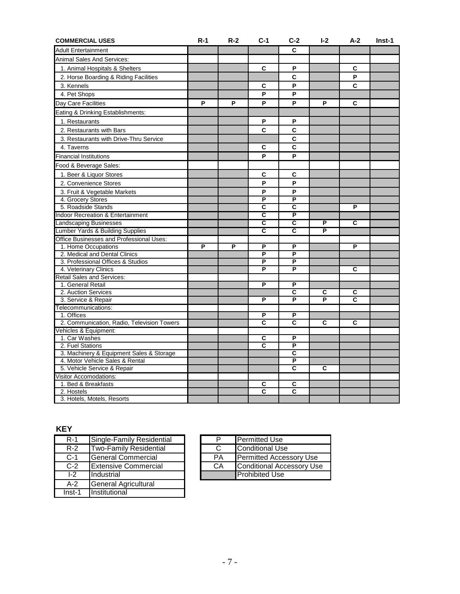| <b>COMMERCIAL USES</b>                       | $R-1$ | $R-2$ | $C-1$                   | $C-2$                   | $I-2$  | $A-2$                        | Inst-1 |
|----------------------------------------------|-------|-------|-------------------------|-------------------------|--------|------------------------------|--------|
| <b>Adult Entertainment</b>                   |       |       |                         | C                       |        |                              |        |
| <b>Animal Sales And Services:</b>            |       |       |                         |                         |        |                              |        |
| 1. Animal Hospitals & Shelters               |       |       | C                       | P                       |        | C                            |        |
| 2. Horse Boarding & Riding Facilities        |       |       |                         | C                       |        | P                            |        |
| 3. Kennels                                   |       |       | С                       | P                       |        | C                            |        |
| 4. Pet Shops                                 |       |       | P                       | P                       |        |                              |        |
| Day Care Facilities                          | P     | P     | P                       | P                       | P      | C                            |        |
| Eating & Drinking Establishments:            |       |       |                         |                         |        |                              |        |
|                                              |       |       | P                       | P                       |        |                              |        |
| 1. Restaurants                               |       |       |                         |                         |        |                              |        |
| 2. Restaurants with Bars                     |       |       | C                       | C                       |        |                              |        |
| 3. Restaurants with Drive-Thru Service       |       |       |                         | C                       |        |                              |        |
| 4. Taverns                                   |       |       | C                       | C                       |        |                              |        |
| <b>Financial Institutions</b>                |       |       | P                       | P                       |        |                              |        |
| Food & Beverage Sales:                       |       |       |                         |                         |        |                              |        |
| 1. Beer & Liquor Stores                      |       |       | C                       | C                       |        |                              |        |
| 2. Convenience Stores                        |       |       | P                       | P                       |        |                              |        |
| 3. Fruit & Vegetable Markets                 |       |       | P                       | P                       |        |                              |        |
| 4. Grocery Stores                            |       |       | P                       | P                       |        |                              |        |
| 5. Roadside Stands                           |       |       | $\overline{\mathsf{c}}$ | $\overline{\mathsf{c}}$ |        | P                            |        |
| <b>Indoor Recreation &amp; Entertainment</b> |       |       | C                       | P                       |        |                              |        |
| <b>Landscaping Businesses</b>                |       |       | $\overline{\mathsf{c}}$ | c                       | P      | С                            |        |
| Lumber Yards & Building Supplies             |       |       | $\overline{\mathbf{c}}$ | $\overline{\mathsf{c}}$ | P      |                              |        |
| Office Businesses and Professional Uses:     |       |       |                         |                         |        |                              |        |
| 1. Home Occupations                          | P     | P     | P                       | P                       |        | P                            |        |
| 2. Medical and Dental Clinics                |       |       | P                       | P                       |        |                              |        |
| 3. Professional Offices & Studios            |       |       | P                       | P                       |        |                              |        |
| 4. Veterinary Clinics                        |       |       | P                       | P                       |        | C                            |        |
| Retail Sales and Services:                   |       |       |                         |                         |        |                              |        |
| 1. General Retail                            |       |       | P                       | P                       |        |                              |        |
| 2. Auction Services                          |       |       | P                       | С<br>P                  | C<br>P | C<br>$\overline{\mathbf{c}}$ |        |
| 3. Service & Repair<br>Telecommunications:   |       |       |                         |                         |        |                              |        |
| 1. Offices                                   |       |       | P                       | P                       |        |                              |        |
| 2. Communication, Radio, Television Towers   |       |       | C                       | С                       | C      | C                            |        |
| Vehicles & Equipment:                        |       |       |                         |                         |        |                              |        |
| 1. Car Washes                                |       |       | $\overline{\mathsf{c}}$ | P                       |        |                              |        |
| 2. Fuel Stations                             |       |       | C                       | P                       |        |                              |        |
| 3. Machinery & Equipment Sales & Storage     |       |       |                         | C                       |        |                              |        |
| 4. Motor Vehicle Sales & Rental              |       |       |                         | P                       |        |                              |        |
| 5. Vehicle Service & Repair                  |       |       |                         | $\overline{\mathbf{c}}$ | C      |                              |        |
| <b>Visitor Accomodations:</b>                |       |       |                         |                         |        |                              |        |
| 1. Bed & Breakfasts                          |       |       | C                       | C                       |        |                              |        |
| 2. Hostels                                   |       |       | C                       | С                       |        |                              |        |
| 3. Hotels, Motels, Resorts                   |       |       |                         |                         |        |                              |        |

# **KEY**

| $R-1$    | Single-Family Residential   | P  | <b>Permitted Use</b>           |
|----------|-----------------------------|----|--------------------------------|
| $R-2$    | Two-Family Residential      | C  | Conditional Use                |
| $C-1$    | <b>General Commercial</b>   | PA | <b>Permitted Accessory Use</b> |
| $C-2$    | <b>Extensive Commercial</b> | CA | Conditional Accessory Us       |
| $1-2$    | Industrial                  |    | <b>Prohibited Use</b>          |
| $A-2$    | General Agricultural        |    |                                |
| $Inst-1$ | Institutional               |    |                                |

| R-1                   | Single-Family Residential     |           | <b>Permitted Use</b>           |
|-----------------------|-------------------------------|-----------|--------------------------------|
| $R-2$                 | <b>Two-Family Residential</b> |           | Conditional Use                |
| C-1                   | General Commercial            | <b>PA</b> | <b>Permitted Accessory Use</b> |
| $C-2$                 | <b>Extensive Commercial</b>   | СA        | Conditional Accessory Use      |
| $\overline{1\cdot 2}$ | <b>Industrial</b>             |           | <b>Prohibited Use</b>          |
|                       |                               |           |                                |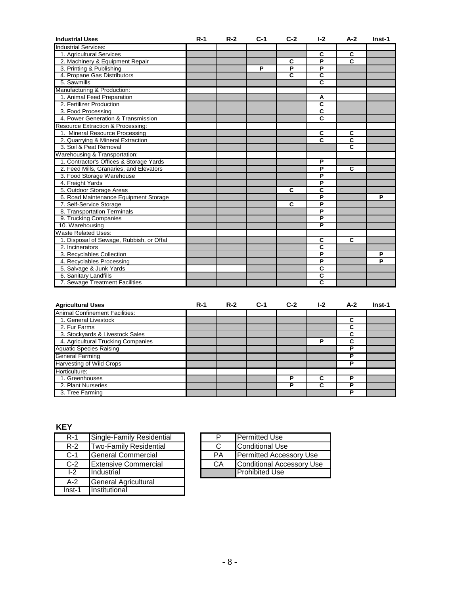| <b>Industrial Uses</b>                   | $R-1$ | $R-2$ | $C-1$ | $C-2$                   | $I-2$                   | $A-2$                   | Inst-1 |
|------------------------------------------|-------|-------|-------|-------------------------|-------------------------|-------------------------|--------|
| Industrial Services:                     |       |       |       |                         |                         |                         |        |
| 1. Agricultural Services                 |       |       |       |                         | C                       | C                       |        |
| 2. Machinery & Equipment Repair          |       |       |       | C                       | P                       | C                       |        |
| 3. Printing & Publishing                 |       |       | P     | P                       | P                       |                         |        |
| 4. Propane Gas Distributors              |       |       |       | $\overline{\mathbf{c}}$ | $\overline{\mathbf{c}}$ |                         |        |
| 5. Sawmills                              |       |       |       |                         | $\overline{\mathbf{c}}$ |                         |        |
| Manufacturing & Production:              |       |       |       |                         |                         |                         |        |
| 1. Animal Feed Preparation               |       |       |       |                         | Α                       |                         |        |
| 2. Fertilizer Production                 |       |       |       |                         | $\overline{\mathbf{c}}$ |                         |        |
| 3. Food Processing                       |       |       |       |                         | $\overline{\mathbf{c}}$ |                         |        |
| 4. Power Generation & Transmission       |       |       |       |                         | $\overline{c}$          |                         |        |
| Resource Extraction & Processing:        |       |       |       |                         |                         |                         |        |
| 1. Mineral Resource Processing           |       |       |       |                         | $\overline{\mathbf{c}}$ | $\overline{\mathbf{c}}$ |        |
| 2. Quarrying & Mineral Extraction        |       |       |       |                         | C                       | $\overline{\mathbf{c}}$ |        |
| 3. Soil & Peat Removal                   |       |       |       |                         |                         | $\overline{\mathbf{c}}$ |        |
| Warehousing & Transportation:            |       |       |       |                         |                         |                         |        |
| 1. Contractor's Offices & Storage Yards  |       |       |       |                         | P                       |                         |        |
| 2. Feed Mills, Granaries, and Elevators  |       |       |       |                         | P                       | C                       |        |
| 3. Food Storage Warehouse                |       |       |       |                         | P                       |                         |        |
| 4. Freight Yards                         |       |       |       |                         | $\overline{P}$          |                         |        |
| 5. Outdoor Storage Areas                 |       |       |       | C                       | $\overline{\mathbf{c}}$ |                         |        |
| 6. Road Maintenance Equipment Storage    |       |       |       |                         | P                       |                         | P      |
| 7. Self-Service Storage                  |       |       |       | C                       | P                       |                         |        |
| 8. Transportation Terminals              |       |       |       |                         | $\overline{P}$          |                         |        |
| 9. Trucking Companies                    |       |       |       |                         | P                       |                         |        |
| 10. Warehousing                          |       |       |       |                         | P                       |                         |        |
| <b>Waste Related Uses:</b>               |       |       |       |                         |                         |                         |        |
| 1. Disposal of Sewage, Rubbish, or Offal |       |       |       |                         | C                       | $\overline{\mathbf{c}}$ |        |
| 2. Incinerators                          |       |       |       |                         | $\overline{\mathsf{c}}$ |                         |        |
| 3. Recyclables Collection                |       |       |       |                         | P                       |                         | P      |
| 4. Recyclables Processing                |       |       |       |                         | $\overline{P}$          |                         | P      |
| 5. Salvage & Junk Yards                  |       |       |       |                         | C                       |                         |        |
| 6. Sanitary Landfills                    |       |       |       |                         | C                       |                         |        |
| 7. Sewage Treatment Facilities           |       |       |       |                         | $\overline{\mathbf{c}}$ |                         |        |

| <b>Agricultural Uses</b>              | $R-1$ | $R-2$ | $C-1$ | $C-2$ | $1-2$ | $A-2$ | Inst-1 |
|---------------------------------------|-------|-------|-------|-------|-------|-------|--------|
| <b>Animal Confinement Facilities:</b> |       |       |       |       |       |       |        |
| 1. General Livestock                  |       |       |       |       |       | C     |        |
| 2. Fur Farms                          |       |       |       |       |       | C     |        |
| 3. Stockyards & Livestock Sales       |       |       |       |       |       | С     |        |
| 4. Agricultural Trucking Companies    |       |       |       |       | Р     | С     |        |
| <b>Aquatic Species Raising</b>        |       |       |       |       |       | Р     |        |
| <b>General Farming</b>                |       |       |       |       |       | P     |        |
| <b>Harvesting of Wild Crops</b>       |       |       |       |       |       | Р     |        |
| Horticulture:                         |       |       |       |       |       |       |        |
| 1. Greenhouses                        |       |       |       | Р     | С     | D     |        |
| 2. Plant Nurseries                    |       |       |       | Р     | C     | Р     |        |
| 3. Tree Farming                       |       |       |       |       |       | Р     |        |

# **KEY**

| $R-1$    | Single-Family Residential   | P  | <b>Permitted Use</b>           |
|----------|-----------------------------|----|--------------------------------|
| $R-2$    | Two-Family Residential      | C  | Conditional Use                |
| $C-1$    | <b>General Commercial</b>   | PA | <b>Permitted Accessory Use</b> |
| $C-2$    | <b>Extensive Commercial</b> | CA | Conditional Accessory Us       |
| $1-2$    | <b>Industrial</b>           |    | <b>I</b> Prohibited Use        |
| $A-2$    | General Agricultural        |    |                                |
| $Inst-1$ | Institutional               |    |                                |

| R-1   | Single-Family Residential     |    | <b>Permitted Use</b>           |
|-------|-------------------------------|----|--------------------------------|
| $R-2$ | <b>Two-Family Residential</b> |    | Conditional Use                |
| C-1   | General Commercial            | PA | <b>Permitted Accessory Use</b> |
| $C-2$ | <b>Extensive Commercial</b>   | CA | Conditional Accessory Use      |
| $1-2$ | <b>Industrial</b>             |    | <b>Prohibited Use</b>          |
|       |                               |    |                                |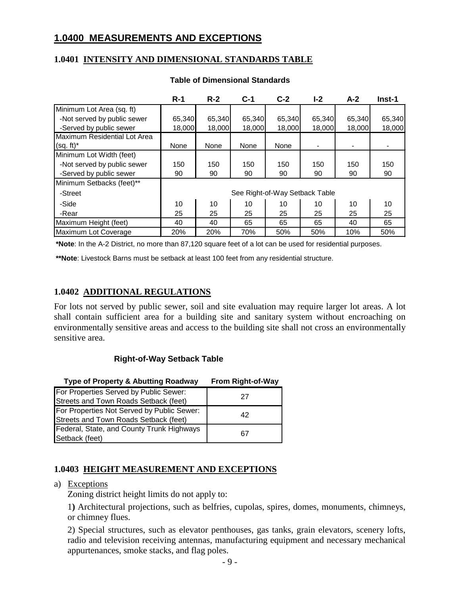# **1.0400 MEASUREMENTS AND EXCEPTIONS**

## **1.0401 INTENSITY AND DIMENSIONAL STANDARDS TABLE**

|                              | $R-1$  | $R-2$  | $C-1$                          | $C-2$  | $I-2$  | $A-2$  | Inst-1 |
|------------------------------|--------|--------|--------------------------------|--------|--------|--------|--------|
| Minimum Lot Area (sq. ft)    |        |        |                                |        |        |        |        |
| -Not served by public sewer  | 65,340 | 65,340 | 65,340                         | 65,340 | 65,340 | 65,340 | 65,340 |
| -Served by public sewer      | 18,000 | 18,000 | 18,000                         | 18,000 | 18,000 | 18,000 | 18,000 |
| Maximum Residential Lot Area |        |        |                                |        |        |        |        |
| $(sq. ft)^*$                 | None   | None   | None                           | None   |        |        |        |
| Minimum Lot Width (feet)     |        |        |                                |        |        |        |        |
| -Not served by public sewer  | 150    | 150    | 150                            | 150    | 150    | 150    | 150    |
| -Served by public sewer      | 90     | 90     | 90                             | 90     | 90     | 90     | 90     |
| Minimum Setbacks (feet)**    |        |        |                                |        |        |        |        |
| -Street                      |        |        | See Right-of-Way Setback Table |        |        |        |        |
| -Side                        | 10     | 10     | 10                             | 10     | 10     | 10     | 10     |
| -Rear                        | 25     | 25     | 25                             | 25     | 25     | 25     | 25     |
| Maximum Height (feet)        | 40     | 40     | 65                             | 65     | 65     | 40     | 65     |
| Maximum Lot Coverage         | 20%    | 20%    | 70%                            | 50%    | 50%    | 10%    | 50%    |

#### **Table of Dimensional Standards**

**\*Note**: In the A-2 District, no more than 87,120 square feet of a lot can be used for residential purposes.

**\*\*Note**: Livestock Barns must be setback at least 100 feet from any residential structure.

## **1.0402 ADDITIONAL REGULATIONS**

For lots not served by public sewer, soil and site evaluation may require larger lot areas. A lot shall contain sufficient area for a building site and sanitary system without encroaching on environmentally sensitive areas and access to the building site shall not cross an environmentally sensitive area.

#### **Right-of-Way Setback Table**

| Type of Property & Abutting Roadway        | <b>From Right-of-Way</b> |
|--------------------------------------------|--------------------------|
| For Properties Served by Public Sewer:     | 27                       |
| Streets and Town Roads Setback (feet)      |                          |
| For Properties Not Served by Public Sewer: | 42                       |
| Streets and Town Roads Setback (feet)      |                          |
| Federal, State, and County Trunk Highways  | 67                       |
| Setback (feet)                             |                          |

#### **1.0403 HEIGHT MEASUREMENT AND EXCEPTIONS**

## a) Exceptions

Zoning district height limits do not apply to:

1**)** Architectural projections, such as belfries, cupolas, spires, domes, monuments, chimneys, or chimney flues.

2) Special structures, such as elevator penthouses, gas tanks, grain elevators, scenery lofts, radio and television receiving antennas, manufacturing equipment and necessary mechanical appurtenances, smoke stacks, and flag poles.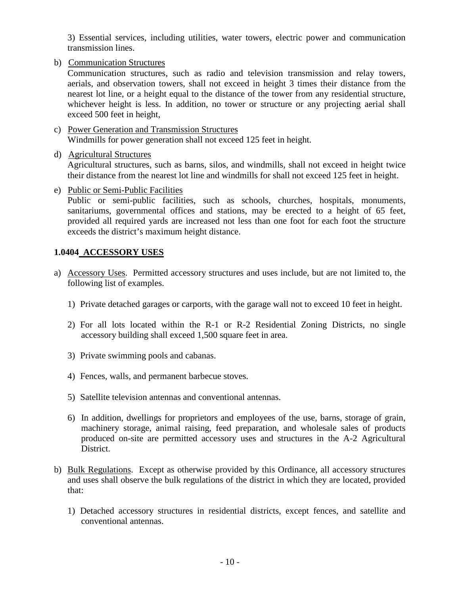3) Essential services, including utilities, water towers, electric power and communication transmission lines.

b) Communication Structures

Communication structures, such as radio and television transmission and relay towers, aerials, and observation towers, shall not exceed in height 3 times their distance from the nearest lot line, or a height equal to the distance of the tower from any residential structure, whichever height is less. In addition, no tower or structure or any projecting aerial shall exceed 500 feet in height,

- c) Power Generation and Transmission Structures Windmills for power generation shall not exceed 125 feet in height.
- d) Agricultural Structures

Agricultural structures, such as barns, silos, and windmills, shall not exceed in height twice their distance from the nearest lot line and windmills for shall not exceed 125 feet in height.

e) Public or Semi-Public Facilities

Public or semi-public facilities, such as schools, churches, hospitals, monuments, sanitariums, governmental offices and stations, may be erected to a height of 65 feet, provided all required yards are increased not less than one foot for each foot the structure exceeds the district's maximum height distance.

## **1.0404 ACCESSORY USES**

- a) Accessory Uses. Permitted accessory structures and uses include, but are not limited to, the following list of examples.
	- 1) Private detached garages or carports, with the garage wall not to exceed 10 feet in height.
	- 2) For all lots located within the R-1 or R-2 Residential Zoning Districts, no single accessory building shall exceed 1,500 square feet in area.
	- 3) Private swimming pools and cabanas.
	- 4) Fences, walls, and permanent barbecue stoves.
	- 5) Satellite television antennas and conventional antennas.
	- 6) In addition, dwellings for proprietors and employees of the use, barns, storage of grain, machinery storage, animal raising, feed preparation, and wholesale sales of products produced on-site are permitted accessory uses and structures in the A-2 Agricultural District.
- b) Bulk Regulations. Except as otherwise provided by this Ordinance, all accessory structures and uses shall observe the bulk regulations of the district in which they are located, provided that:
	- 1) Detached accessory structures in residential districts, except fences, and satellite and conventional antennas.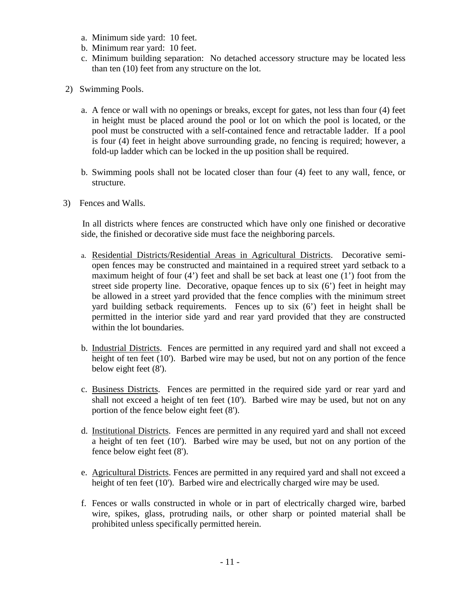- a. Minimum side yard: 10 feet.
- b. Minimum rear yard: 10 feet.
- c. Minimum building separation: No detached accessory structure may be located less than ten (10) feet from any structure on the lot.
- 2) Swimming Pools.
	- a. A fence or wall with no openings or breaks, except for gates, not less than four (4) feet in height must be placed around the pool or lot on which the pool is located, or the pool must be constructed with a self-contained fence and retractable ladder. If a pool is four (4) feet in height above surrounding grade, no fencing is required; however, a fold-up ladder which can be locked in the up position shall be required.
	- b. Swimming pools shall not be located closer than four (4) feet to any wall, fence, or structure.
- 3) Fences and Walls.

 In all districts where fences are constructed which have only one finished or decorative side, the finished or decorative side must face the neighboring parcels.

- a. Residential Districts/Residential Areas in Agricultural Districts. Decorative semiopen fences may be constructed and maintained in a required street yard setback to a maximum height of four (4') feet and shall be set back at least one (1') foot from the street side property line. Decorative, opaque fences up to six (6') feet in height may be allowed in a street yard provided that the fence complies with the minimum street yard building setback requirements. Fences up to six (6') feet in height shall be permitted in the interior side yard and rear yard provided that they are constructed within the lot boundaries.
- b. Industrial Districts. Fences are permitted in any required yard and shall not exceed a height of ten feet (10'). Barbed wire may be used, but not on any portion of the fence below eight feet (8').
- c. Business Districts. Fences are permitted in the required side yard or rear yard and shall not exceed a height of ten feet (10'). Barbed wire may be used, but not on any portion of the fence below eight feet (8').
- d. Institutional Districts. Fences are permitted in any required yard and shall not exceed a height of ten feet (10'). Barbed wire may be used, but not on any portion of the fence below eight feet (8').
- e. Agricultural Districts. Fences are permitted in any required yard and shall not exceed a height of ten feet (10'). Barbed wire and electrically charged wire may be used.
- f. Fences or walls constructed in whole or in part of electrically charged wire, barbed wire, spikes, glass, protruding nails, or other sharp or pointed material shall be prohibited unless specifically permitted herein.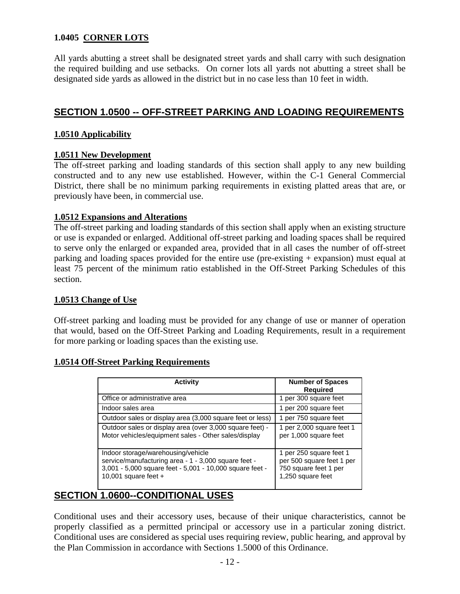## **1.0405 CORNER LOTS**

All yards abutting a street shall be designated street yards and shall carry with such designation the required building and use setbacks. On corner lots all yards not abutting a street shall be designated side yards as allowed in the district but in no case less than 10 feet in width.

# **SECTION 1.0500 -- OFF-STREET PARKING AND LOADING REQUIREMENTS**

#### **1.0510 Applicability**

## **1.0511 New Development**

The off-street parking and loading standards of this section shall apply to any new building constructed and to any new use established. However, within the C-1 General Commercial District, there shall be no minimum parking requirements in existing platted areas that are, or previously have been, in commercial use.

# **1.0512 Expansions and Alterations**

The off-street parking and loading standards of this section shall apply when an existing structure or use is expanded or enlarged. Additional off-street parking and loading spaces shall be required to serve only the enlarged or expanded area, provided that in all cases the number of off-street parking and loading spaces provided for the entire use (pre-existing + expansion) must equal at least 75 percent of the minimum ratio established in the Off-Street Parking Schedules of this section.

## **1.0513 Change of Use**

Off-street parking and loading must be provided for any change of use or manner of operation that would, based on the Off-Street Parking and Loading Requirements, result in a requirement for more parking or loading spaces than the existing use.

#### **1.0514 Off-Street Parking Requirements**

| <b>Activity</b>                                                                                                                                                                  | <b>Number of Spaces</b><br><b>Required</b>                                                         |
|----------------------------------------------------------------------------------------------------------------------------------------------------------------------------------|----------------------------------------------------------------------------------------------------|
| Office or administrative area                                                                                                                                                    | 1 per 300 square feet                                                                              |
| Indoor sales area                                                                                                                                                                | 1 per 200 square feet                                                                              |
| Outdoor sales or display area (3,000 square feet or less)                                                                                                                        | 1 per 750 square feet                                                                              |
| Outdoor sales or display area (over 3,000 square feet) -<br>Motor vehicles/equipment sales - Other sales/display                                                                 | 1 per 2,000 square feet 1<br>per 1,000 square feet                                                 |
| Indoor storage/warehousing/vehicle<br>service/manufacturing area - 1 - 3,000 square feet -<br>3,001 - 5,000 square feet - 5,001 - 10,000 square feet -<br>10,001 square feet $+$ | 1 per 250 square feet 1<br>per 500 square feet 1 per<br>750 square feet 1 per<br>1,250 square feet |

# **SECTION 1.0600--CONDITIONAL USES**

Conditional uses and their accessory uses, because of their unique characteristics, cannot be properly classified as a permitted principal or accessory use in a particular zoning district. Conditional uses are considered as special uses requiring review, public hearing, and approval by the Plan Commission in accordance with Sections 1.5000 of this Ordinance.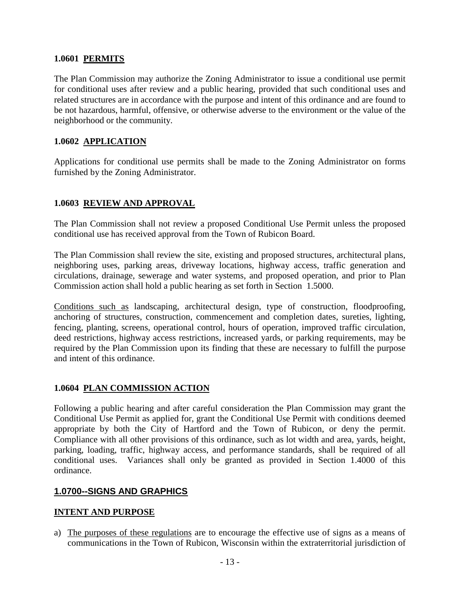## **1.0601 PERMITS**

The Plan Commission may authorize the Zoning Administrator to issue a conditional use permit for conditional uses after review and a public hearing, provided that such conditional uses and related structures are in accordance with the purpose and intent of this ordinance and are found to be not hazardous, harmful, offensive, or otherwise adverse to the environment or the value of the neighborhood or the community.

## **1.0602 APPLICATION**

Applications for conditional use permits shall be made to the Zoning Administrator on forms furnished by the Zoning Administrator.

## **1.0603 REVIEW AND APPROVAL**

The Plan Commission shall not review a proposed Conditional Use Permit unless the proposed conditional use has received approval from the Town of Rubicon Board.

The Plan Commission shall review the site, existing and proposed structures, architectural plans, neighboring uses, parking areas, driveway locations, highway access, traffic generation and circulations, drainage, sewerage and water systems, and proposed operation, and prior to Plan Commission action shall hold a public hearing as set forth in Section 1.5000.

Conditions such as landscaping, architectural design, type of construction, floodproofing, anchoring of structures, construction, commencement and completion dates, sureties, lighting, fencing, planting, screens, operational control, hours of operation, improved traffic circulation, deed restrictions, highway access restrictions, increased yards, or parking requirements, may be required by the Plan Commission upon its finding that these are necessary to fulfill the purpose and intent of this ordinance.

## **1.0604 PLAN COMMISSION ACTION**

Following a public hearing and after careful consideration the Plan Commission may grant the Conditional Use Permit as applied for, grant the Conditional Use Permit with conditions deemed appropriate by both the City of Hartford and the Town of Rubicon, or deny the permit. Compliance with all other provisions of this ordinance, such as lot width and area, yards, height, parking, loading, traffic, highway access, and performance standards, shall be required of all conditional uses. Variances shall only be granted as provided in Section 1.4000 of this ordinance.

## **1.0700--SIGNS AND GRAPHICS**

#### **INTENT AND PURPOSE**

a) The purposes of these regulations are to encourage the effective use of signs as a means of communications in the Town of Rubicon, Wisconsin within the extraterritorial jurisdiction of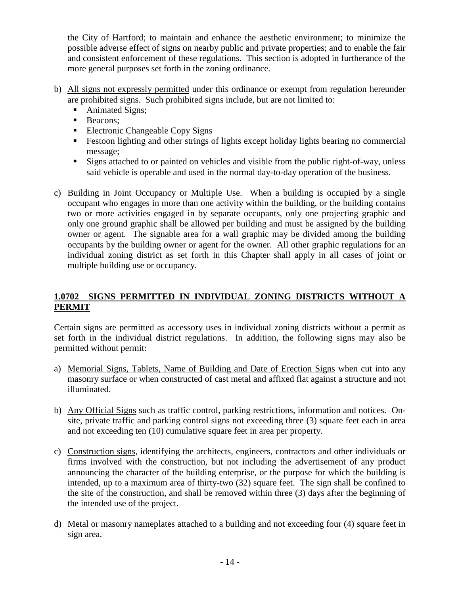the City of Hartford; to maintain and enhance the aesthetic environment; to minimize the possible adverse effect of signs on nearby public and private properties; and to enable the fair and consistent enforcement of these regulations. This section is adopted in furtherance of the more general purposes set forth in the zoning ordinance.

- b) All signs not expressly permitted under this ordinance or exempt from regulation hereunder are prohibited signs. Such prohibited signs include, but are not limited to:
	- Animated Signs;
	- **Beacons**;
	- Electronic Changeable Copy Signs
	- Festoon lighting and other strings of lights except holiday lights bearing no commercial message;
	- Signs attached to or painted on vehicles and visible from the public right-of-way, unless said vehicle is operable and used in the normal day-to-day operation of the business.
- c) Building in Joint Occupancy or Multiple Use. When a building is occupied by a single occupant who engages in more than one activity within the building, or the building contains two or more activities engaged in by separate occupants, only one projecting graphic and only one ground graphic shall be allowed per building and must be assigned by the building owner or agent. The signable area for a wall graphic may be divided among the building occupants by the building owner or agent for the owner. All other graphic regulations for an individual zoning district as set forth in this Chapter shall apply in all cases of joint or multiple building use or occupancy.

# **1.0702 SIGNS PERMITTED IN INDIVIDUAL ZONING DISTRICTS WITHOUT A PERMIT**

Certain signs are permitted as accessory uses in individual zoning districts without a permit as set forth in the individual district regulations. In addition, the following signs may also be permitted without permit:

- a) Memorial Signs, Tablets, Name of Building and Date of Erection Signs when cut into any masonry surface or when constructed of cast metal and affixed flat against a structure and not illuminated.
- b) Any Official Signs such as traffic control, parking restrictions, information and notices. Onsite, private traffic and parking control signs not exceeding three (3) square feet each in area and not exceeding ten (10) cumulative square feet in area per property.
- c) Construction signs, identifying the architects, engineers, contractors and other individuals or firms involved with the construction, but not including the advertisement of any product announcing the character of the building enterprise, or the purpose for which the building is intended, up to a maximum area of thirty-two (32) square feet. The sign shall be confined to the site of the construction, and shall be removed within three (3) days after the beginning of the intended use of the project.
- d) Metal or masonry nameplates attached to a building and not exceeding four (4) square feet in sign area.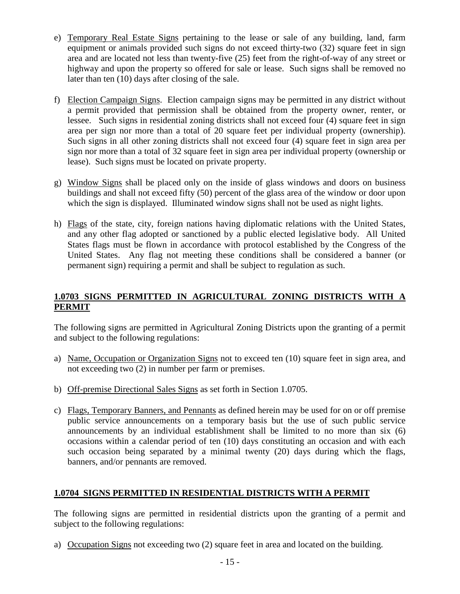- e) Temporary Real Estate Signs pertaining to the lease or sale of any building, land, farm equipment or animals provided such signs do not exceed thirty-two (32) square feet in sign area and are located not less than twenty-five (25) feet from the right-of-way of any street or highway and upon the property so offered for sale or lease. Such signs shall be removed no later than ten (10) days after closing of the sale.
- f) Election Campaign Signs. Election campaign signs may be permitted in any district without a permit provided that permission shall be obtained from the property owner, renter, or lessee. Such signs in residential zoning districts shall not exceed four (4) square feet in sign area per sign nor more than a total of 20 square feet per individual property (ownership). Such signs in all other zoning districts shall not exceed four (4) square feet in sign area per sign nor more than a total of 32 square feet in sign area per individual property (ownership or lease). Such signs must be located on private property.
- g) Window Signs shall be placed only on the inside of glass windows and doors on business buildings and shall not exceed fifty (50) percent of the glass area of the window or door upon which the sign is displayed. Illuminated window signs shall not be used as night lights.
- h) Flags of the state, city, foreign nations having diplomatic relations with the United States, and any other flag adopted or sanctioned by a public elected legislative body. All United States flags must be flown in accordance with protocol established by the Congress of the United States. Any flag not meeting these conditions shall be considered a banner (or permanent sign) requiring a permit and shall be subject to regulation as such.

# **1.0703 SIGNS PERMITTED IN AGRICULTURAL ZONING DISTRICTS WITH A PERMIT**

The following signs are permitted in Agricultural Zoning Districts upon the granting of a permit and subject to the following regulations:

- a) Name, Occupation or Organization Signs not to exceed ten (10) square feet in sign area, and not exceeding two (2) in number per farm or premises.
- b) Off-premise Directional Sales Signs as set forth in Section 1.0705.
- c) Flags, Temporary Banners, and Pennants as defined herein may be used for on or off premise public service announcements on a temporary basis but the use of such public service announcements by an individual establishment shall be limited to no more than six (6) occasions within a calendar period of ten (10) days constituting an occasion and with each such occasion being separated by a minimal twenty (20) days during which the flags, banners, and/or pennants are removed.

# **1.0704 SIGNS PERMITTED IN RESIDENTIAL DISTRICTS WITH A PERMIT**

The following signs are permitted in residential districts upon the granting of a permit and subject to the following regulations:

a) Occupation Signs not exceeding two (2) square feet in area and located on the building.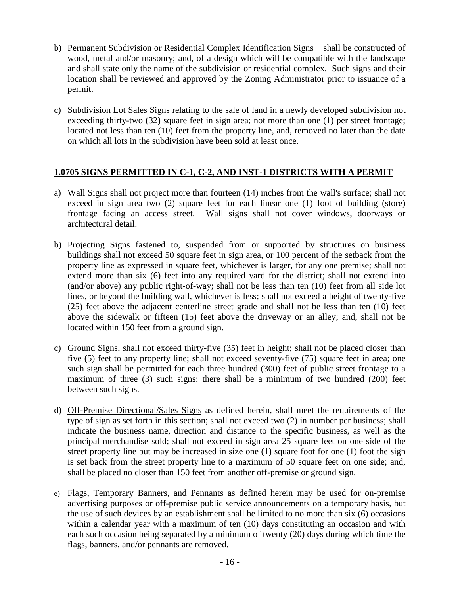- b) Permanent Subdivision or Residential Complex Identification Signs shall be constructed of wood, metal and/or masonry; and, of a design which will be compatible with the landscape and shall state only the name of the subdivision or residential complex. Such signs and their location shall be reviewed and approved by the Zoning Administrator prior to issuance of a permit.
- c) Subdivision Lot Sales Signs relating to the sale of land in a newly developed subdivision not exceeding thirty-two (32) square feet in sign area; not more than one (1) per street frontage; located not less than ten (10) feet from the property line, and, removed no later than the date on which all lots in the subdivision have been sold at least once.

## **1.0705 SIGNS PERMITTED IN C-1, C-2, AND INST-1 DISTRICTS WITH A PERMIT**

- a) Wall Signs shall not project more than fourteen (14) inches from the wall's surface; shall not exceed in sign area two (2) square feet for each linear one (1) foot of building (store) frontage facing an access street. Wall signs shall not cover windows, doorways or architectural detail.
- b) Projecting Signs fastened to, suspended from or supported by structures on business buildings shall not exceed 50 square feet in sign area, or 100 percent of the setback from the property line as expressed in square feet, whichever is larger, for any one premise; shall not extend more than six (6) feet into any required yard for the district; shall not extend into (and/or above) any public right-of-way; shall not be less than ten (10) feet from all side lot lines, or beyond the building wall, whichever is less; shall not exceed a height of twenty-five (25) feet above the adjacent centerline street grade and shall not be less than ten (10) feet above the sidewalk or fifteen (15) feet above the driveway or an alley; and, shall not be located within 150 feet from a ground sign.
- c) Ground Signs, shall not exceed thirty-five (35) feet in height; shall not be placed closer than five (5) feet to any property line; shall not exceed seventy-five (75) square feet in area; one such sign shall be permitted for each three hundred (300) feet of public street frontage to a maximum of three (3) such signs; there shall be a minimum of two hundred (200) feet between such signs.
- d) Off-Premise Directional/Sales Signs as defined herein, shall meet the requirements of the type of sign as set forth in this section; shall not exceed two (2) in number per business; shall indicate the business name, direction and distance to the specific business, as well as the principal merchandise sold; shall not exceed in sign area 25 square feet on one side of the street property line but may be increased in size one (1) square foot for one (1) foot the sign is set back from the street property line to a maximum of 50 square feet on one side; and, shall be placed no closer than 150 feet from another off-premise or ground sign.
- e) Flags, Temporary Banners, and Pennants as defined herein may be used for on-premise advertising purposes or off-premise public service announcements on a temporary basis, but the use of such devices by an establishment shall be limited to no more than six (6) occasions within a calendar year with a maximum of ten (10) days constituting an occasion and with each such occasion being separated by a minimum of twenty (20) days during which time the flags, banners, and/or pennants are removed.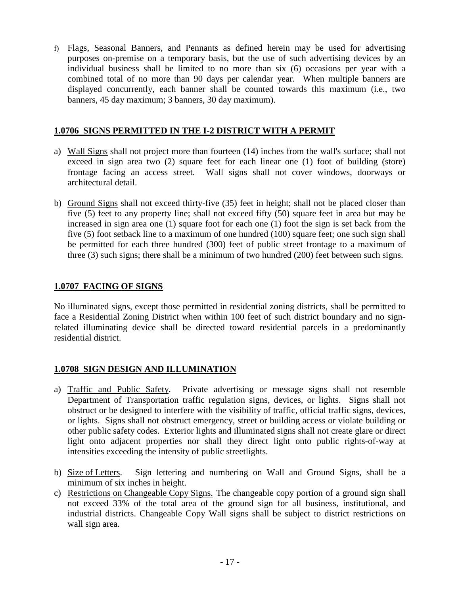f) Flags, Seasonal Banners, and Pennants as defined herein may be used for advertising purposes on-premise on a temporary basis, but the use of such advertising devices by an individual business shall be limited to no more than six (6) occasions per year with a combined total of no more than 90 days per calendar year. When multiple banners are displayed concurrently, each banner shall be counted towards this maximum (i.e., two banners, 45 day maximum; 3 banners, 30 day maximum).

## **1.0706 SIGNS PERMITTED IN THE I-2 DISTRICT WITH A PERMIT**

- a) Wall Signs shall not project more than fourteen (14) inches from the wall's surface; shall not exceed in sign area two (2) square feet for each linear one (1) foot of building (store) frontage facing an access street. Wall signs shall not cover windows, doorways or architectural detail.
- b) Ground Signs shall not exceed thirty-five (35) feet in height; shall not be placed closer than five (5) feet to any property line; shall not exceed fifty (50) square feet in area but may be increased in sign area one (1) square foot for each one (1) foot the sign is set back from the five (5) foot setback line to a maximum of one hundred (100) square feet; one such sign shall be permitted for each three hundred (300) feet of public street frontage to a maximum of three (3) such signs; there shall be a minimum of two hundred (200) feet between such signs.

# **1.0707 FACING OF SIGNS**

No illuminated signs, except those permitted in residential zoning districts, shall be permitted to face a Residential Zoning District when within 100 feet of such district boundary and no signrelated illuminating device shall be directed toward residential parcels in a predominantly residential district.

# **1.0708 SIGN DESIGN AND ILLUMINATION**

- a) Traffic and Public Safety. Private advertising or message signs shall not resemble Department of Transportation traffic regulation signs, devices, or lights. Signs shall not obstruct or be designed to interfere with the visibility of traffic, official traffic signs, devices, or lights. Signs shall not obstruct emergency, street or building access or violate building or other public safety codes. Exterior lights and illuminated signs shall not create glare or direct light onto adjacent properties nor shall they direct light onto public rights-of-way at intensities exceeding the intensity of public streetlights.
- b) Size of Letters. Sign lettering and numbering on Wall and Ground Signs, shall be a minimum of six inches in height.
- c) Restrictions on Changeable Copy Signs. The changeable copy portion of a ground sign shall not exceed 33% of the total area of the ground sign for all business, institutional, and industrial districts. Changeable Copy Wall signs shall be subject to district restrictions on wall sign area.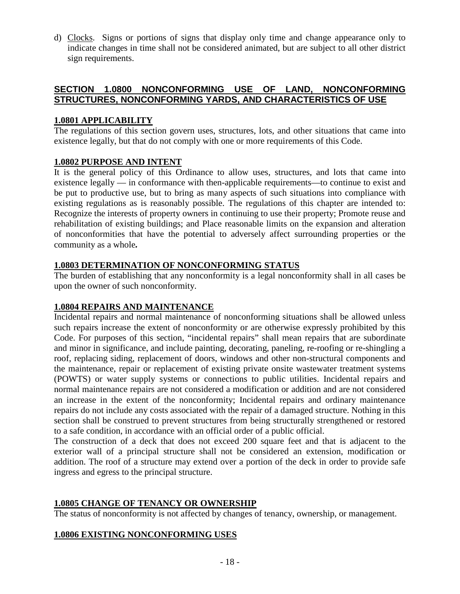d) Clocks. Signs or portions of signs that display only time and change appearance only to indicate changes in time shall not be considered animated, but are subject to all other district sign requirements.

# **SECTION 1.0800 NONCONFORMING USE OF LAND, NONCONFORMING STRUCTURES, NONCONFORMING YARDS, AND CHARACTERISTICS OF USE**

## **1.0801 APPLICABILITY**

The regulations of this section govern uses, structures, lots, and other situations that came into existence legally, but that do not comply with one or more requirements of this Code.

## **1.0802 PURPOSE AND INTENT**

It is the general policy of this Ordinance to allow uses, structures, and lots that came into existence legally — in conformance with then-applicable requirements—to continue to exist and be put to productive use, but to bring as many aspects of such situations into compliance with existing regulations as is reasonably possible. The regulations of this chapter are intended to: Recognize the interests of property owners in continuing to use their property; Promote reuse and rehabilitation of existing buildings; and Place reasonable limits on the expansion and alteration of nonconformities that have the potential to adversely affect surrounding properties or the community as a whole*.*

## **1.0803 DETERMINATION OF NONCONFORMING STATUS**

The burden of establishing that any nonconformity is a legal nonconformity shall in all cases be upon the owner of such nonconformity.

# **1.0804 REPAIRS AND MAINTENANCE**

Incidental repairs and normal maintenance of nonconforming situations shall be allowed unless such repairs increase the extent of nonconformity or are otherwise expressly prohibited by this Code. For purposes of this section, "incidental repairs" shall mean repairs that are subordinate and minor in significance, and include painting, decorating, paneling, re-roofing or re-shingling a roof, replacing siding, replacement of doors, windows and other non-structural components and the maintenance, repair or replacement of existing private onsite wastewater treatment systems (POWTS) or water supply systems or connections to public utilities. Incidental repairs and normal maintenance repairs are not considered a modification or addition and are not considered an increase in the extent of the nonconformity; Incidental repairs and ordinary maintenance repairs do not include any costs associated with the repair of a damaged structure. Nothing in this section shall be construed to prevent structures from being structurally strengthened or restored to a safe condition, in accordance with an official order of a public official.

The construction of a deck that does not exceed 200 square feet and that is adjacent to the exterior wall of a principal structure shall not be considered an extension, modification or addition. The roof of a structure may extend over a portion of the deck in order to provide safe ingress and egress to the principal structure.

# **1.0805 CHANGE OF TENANCY OR OWNERSHIP**

The status of nonconformity is not affected by changes of tenancy, ownership, or management.

# **1.0806 EXISTING NONCONFORMING USES**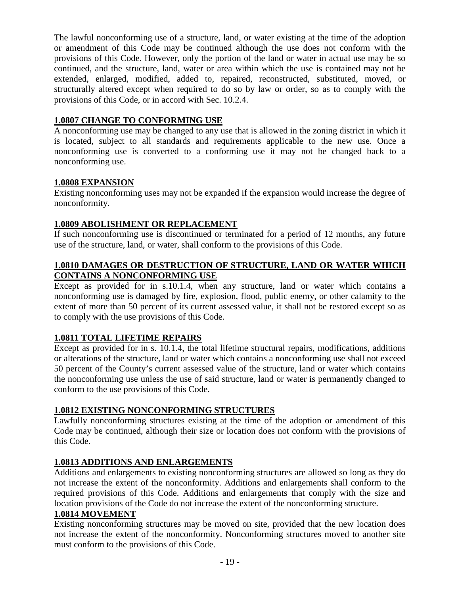The lawful nonconforming use of a structure, land, or water existing at the time of the adoption or amendment of this Code may be continued although the use does not conform with the provisions of this Code. However, only the portion of the land or water in actual use may be so continued, and the structure, land, water or area within which the use is contained may not be extended, enlarged, modified, added to, repaired, reconstructed, substituted, moved, or structurally altered except when required to do so by law or order, so as to comply with the provisions of this Code, or in accord with Sec. 10.2.4.

## **1.0807 CHANGE TO CONFORMING USE**

A nonconforming use may be changed to any use that is allowed in the zoning district in which it is located, subject to all standards and requirements applicable to the new use. Once a nonconforming use is converted to a conforming use it may not be changed back to a nonconforming use.

## **1.0808 EXPANSION**

Existing nonconforming uses may not be expanded if the expansion would increase the degree of nonconformity.

## **1.0809 ABOLISHMENT OR REPLACEMENT**

If such nonconforming use is discontinued or terminated for a period of 12 months, any future use of the structure, land, or water, shall conform to the provisions of this Code.

## **1.0810 DAMAGES OR DESTRUCTION OF STRUCTURE, LAND OR WATER WHICH CONTAINS A NONCONFORMING USE**

Except as provided for in s.10.1.4, when any structure, land or water which contains a nonconforming use is damaged by fire, explosion, flood, public enemy, or other calamity to the extent of more than 50 percent of its current assessed value, it shall not be restored except so as to comply with the use provisions of this Code.

## **1.0811 TOTAL LIFETIME REPAIRS**

Except as provided for in s. 10.1.4, the total lifetime structural repairs, modifications, additions or alterations of the structure, land or water which contains a nonconforming use shall not exceed 50 percent of the County's current assessed value of the structure, land or water which contains the nonconforming use unless the use of said structure, land or water is permanently changed to conform to the use provisions of this Code.

# **1.0812 EXISTING NONCONFORMING STRUCTURES**

Lawfully nonconforming structures existing at the time of the adoption or amendment of this Code may be continued, although their size or location does not conform with the provisions of this Code.

# **1.0813 ADDITIONS AND ENLARGEMENTS**

Additions and enlargements to existing nonconforming structures are allowed so long as they do not increase the extent of the nonconformity. Additions and enlargements shall conform to the required provisions of this Code. Additions and enlargements that comply with the size and location provisions of the Code do not increase the extent of the nonconforming structure.

## **1.0814 MOVEMENT**

Existing nonconforming structures may be moved on site, provided that the new location does not increase the extent of the nonconformity. Nonconforming structures moved to another site must conform to the provisions of this Code.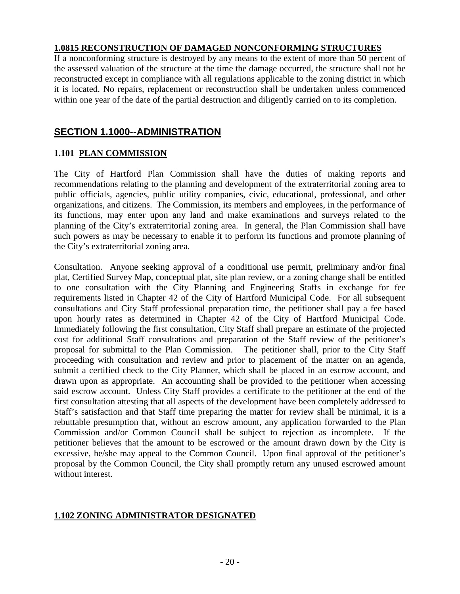## **1.0815 RECONSTRUCTION OF DAMAGED NONCONFORMING STRUCTURES**

If a nonconforming structure is destroyed by any means to the extent of more than 50 percent of the assessed valuation of the structure at the time the damage occurred, the structure shall not be reconstructed except in compliance with all regulations applicable to the zoning district in which it is located. No repairs, replacement or reconstruction shall be undertaken unless commenced within one year of the date of the partial destruction and diligently carried on to its completion.

# **SECTION 1.1000--ADMINISTRATION**

## **1.101 PLAN COMMISSION**

The City of Hartford Plan Commission shall have the duties of making reports and recommendations relating to the planning and development of the extraterritorial zoning area to public officials, agencies, public utility companies, civic, educational, professional, and other organizations, and citizens. The Commission, its members and employees, in the performance of its functions, may enter upon any land and make examinations and surveys related to the planning of the City's extraterritorial zoning area. In general, the Plan Commission shall have such powers as may be necessary to enable it to perform its functions and promote planning of the City's extraterritorial zoning area.

Consultation. Anyone seeking approval of a conditional use permit, preliminary and/or final plat, Certified Survey Map, conceptual plat, site plan review, or a zoning change shall be entitled to one consultation with the City Planning and Engineering Staffs in exchange for fee requirements listed in Chapter 42 of the City of Hartford Municipal Code. For all subsequent consultations and City Staff professional preparation time, the petitioner shall pay a fee based upon hourly rates as determined in Chapter 42 of the City of Hartford Municipal Code. Immediately following the first consultation, City Staff shall prepare an estimate of the projected cost for additional Staff consultations and preparation of the Staff review of the petitioner's proposal for submittal to the Plan Commission. The petitioner shall, prior to the City Staff proceeding with consultation and review and prior to placement of the matter on an agenda, submit a certified check to the City Planner, which shall be placed in an escrow account, and drawn upon as appropriate. An accounting shall be provided to the petitioner when accessing said escrow account. Unless City Staff provides a certificate to the petitioner at the end of the first consultation attesting that all aspects of the development have been completely addressed to Staff's satisfaction and that Staff time preparing the matter for review shall be minimal, it is a rebuttable presumption that, without an escrow amount, any application forwarded to the Plan Commission and/or Common Council shall be subject to rejection as incomplete. If the petitioner believes that the amount to be escrowed or the amount drawn down by the City is excessive, he/she may appeal to the Common Council. Upon final approval of the petitioner's proposal by the Common Council, the City shall promptly return any unused escrowed amount without interest.

# **1.102 ZONING ADMINISTRATOR DESIGNATED**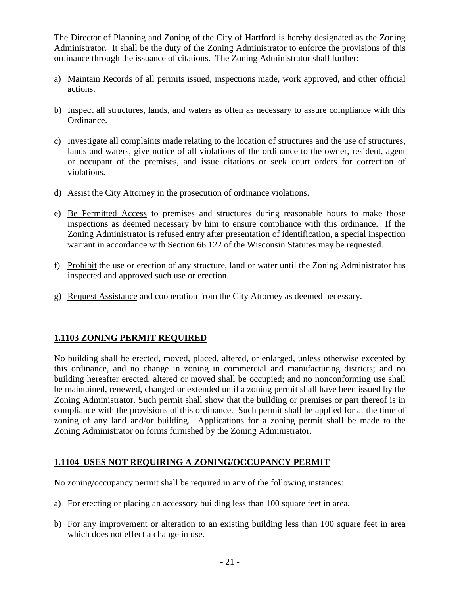The Director of Planning and Zoning of the City of Hartford is hereby designated as the Zoning Administrator. It shall be the duty of the Zoning Administrator to enforce the provisions of this ordinance through the issuance of citations. The Zoning Administrator shall further:

- a) Maintain Records of all permits issued, inspections made, work approved, and other official actions.
- b) Inspect all structures, lands, and waters as often as necessary to assure compliance with this Ordinance.
- c) Investigate all complaints made relating to the location of structures and the use of structures, lands and waters, give notice of all violations of the ordinance to the owner, resident, agent or occupant of the premises, and issue citations or seek court orders for correction of violations.
- d) Assist the City Attorney in the prosecution of ordinance violations.
- e) Be Permitted Access to premises and structures during reasonable hours to make those inspections as deemed necessary by him to ensure compliance with this ordinance. If the Zoning Administrator is refused entry after presentation of identification, a special inspection warrant in accordance with Section 66.122 of the Wisconsin Statutes may be requested.
- f) Prohibit the use or erection of any structure, land or water until the Zoning Administrator has inspected and approved such use or erection.
- g) Request Assistance and cooperation from the City Attorney as deemed necessary.

# **1.1103 ZONING PERMIT REQUIRED**

No building shall be erected, moved, placed, altered, or enlarged, unless otherwise excepted by this ordinance, and no change in zoning in commercial and manufacturing districts; and no building hereafter erected, altered or moved shall be occupied; and no nonconforming use shall be maintained, renewed, changed or extended until a zoning permit shall have been issued by the Zoning Administrator. Such permit shall show that the building or premises or part thereof is in compliance with the provisions of this ordinance. Such permit shall be applied for at the time of zoning of any land and/or building. Applications for a zoning permit shall be made to the Zoning Administrator on forms furnished by the Zoning Administrator.

## **1.1104 USES NOT REQUIRING A ZONING/OCCUPANCY PERMIT**

No zoning/occupancy permit shall be required in any of the following instances:

- a) For erecting or placing an accessory building less than 100 square feet in area.
- b) For any improvement or alteration to an existing building less than 100 square feet in area which does not effect a change in use.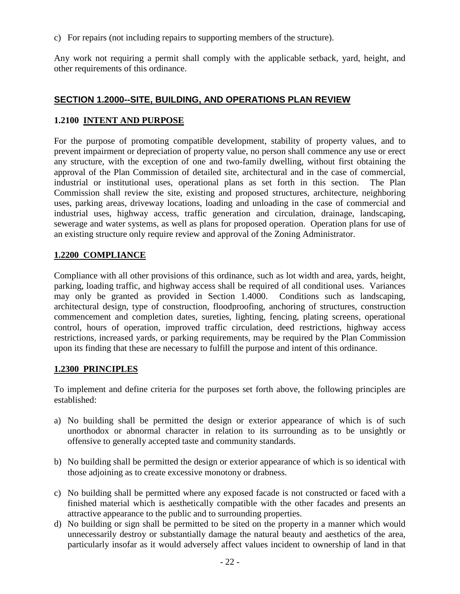c) For repairs (not including repairs to supporting members of the structure).

Any work not requiring a permit shall comply with the applicable setback, yard, height, and other requirements of this ordinance.

## **SECTION 1.2000--SITE, BUILDING, AND OPERATIONS PLAN REVIEW**

## **1.2100 INTENT AND PURPOSE**

For the purpose of promoting compatible development, stability of property values, and to prevent impairment or depreciation of property value, no person shall commence any use or erect any structure, with the exception of one and two-family dwelling, without first obtaining the approval of the Plan Commission of detailed site, architectural and in the case of commercial, industrial or institutional uses, operational plans as set forth in this section. The Plan Commission shall review the site, existing and proposed structures, architecture, neighboring uses, parking areas, driveway locations, loading and unloading in the case of commercial and industrial uses, highway access, traffic generation and circulation, drainage, landscaping, sewerage and water systems, as well as plans for proposed operation. Operation plans for use of an existing structure only require review and approval of the Zoning Administrator.

## **1.2200 COMPLIANCE**

Compliance with all other provisions of this ordinance, such as lot width and area, yards, height, parking, loading traffic, and highway access shall be required of all conditional uses. Variances may only be granted as provided in Section 1.4000. Conditions such as landscaping, architectural design, type of construction, floodproofing, anchoring of structures, construction commencement and completion dates, sureties, lighting, fencing, plating screens, operational control, hours of operation, improved traffic circulation, deed restrictions, highway access restrictions, increased yards, or parking requirements, may be required by the Plan Commission upon its finding that these are necessary to fulfill the purpose and intent of this ordinance.

## **1.2300 PRINCIPLES**

To implement and define criteria for the purposes set forth above, the following principles are established:

- a) No building shall be permitted the design or exterior appearance of which is of such unorthodox or abnormal character in relation to its surrounding as to be unsightly or offensive to generally accepted taste and community standards.
- b) No building shall be permitted the design or exterior appearance of which is so identical with those adjoining as to create excessive monotony or drabness.
- c) No building shall be permitted where any exposed facade is not constructed or faced with a finished material which is aesthetically compatible with the other facades and presents an attractive appearance to the public and to surrounding properties.
- d) No building or sign shall be permitted to be sited on the property in a manner which would unnecessarily destroy or substantially damage the natural beauty and aesthetics of the area, particularly insofar as it would adversely affect values incident to ownership of land in that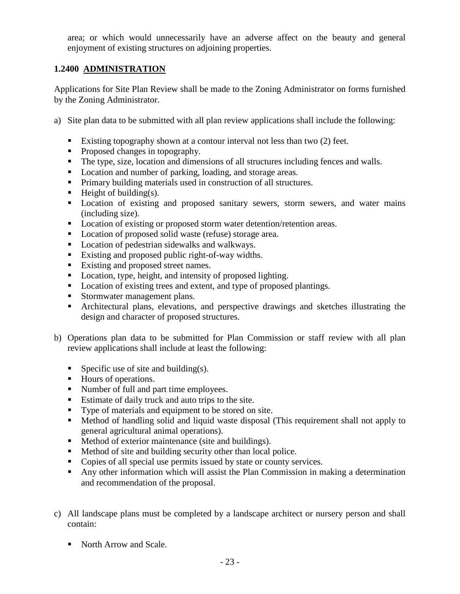area; or which would unnecessarily have an adverse affect on the beauty and general enjoyment of existing structures on adjoining properties.

# **1.2400 ADMINISTRATION**

Applications for Site Plan Review shall be made to the Zoning Administrator on forms furnished by the Zoning Administrator.

- a) Site plan data to be submitted with all plan review applications shall include the following:
	- Existing topography shown at a contour interval not less than two (2) feet.
	- Proposed changes in topography.
	- The type, size, location and dimensions of all structures including fences and walls.
	- **Location and number of parking, loading, and storage areas.**
	- **Primary building materials used in construction of all structures.**
	- $\blacksquare$  Height of building(s).
	- Location of existing and proposed sanitary sewers, storm sewers, and water mains (including size).
	- Location of existing or proposed storm water detention/retention areas.
	- Location of proposed solid waste (refuse) storage area.
	- Location of pedestrian sidewalks and walkways.
	- Existing and proposed public right-of-way widths.
	- Existing and proposed street names.
	- Location, type, height, and intensity of proposed lighting.
	- Location of existing trees and extent, and type of proposed plantings.
	- Stormwater management plans.
	- Architectural plans, elevations, and perspective drawings and sketches illustrating the design and character of proposed structures.
- b) Operations plan data to be submitted for Plan Commission or staff review with all plan review applications shall include at least the following:
	- Specific use of site and building(s).
	- Hours of operations.
	- Number of full and part time employees.
	- Estimate of daily truck and auto trips to the site.
	- Type of materials and equipment to be stored on site.
	- Method of handling solid and liquid waste disposal (This requirement shall not apply to general agricultural animal operations).
	- **Method of exterior maintenance (site and buildings).**
	- Method of site and building security other than local police.
	- Copies of all special use permits issued by state or county services.
	- Any other information which will assist the Plan Commission in making a determination and recommendation of the proposal.
- c) All landscape plans must be completed by a landscape architect or nursery person and shall contain:
	- North Arrow and Scale.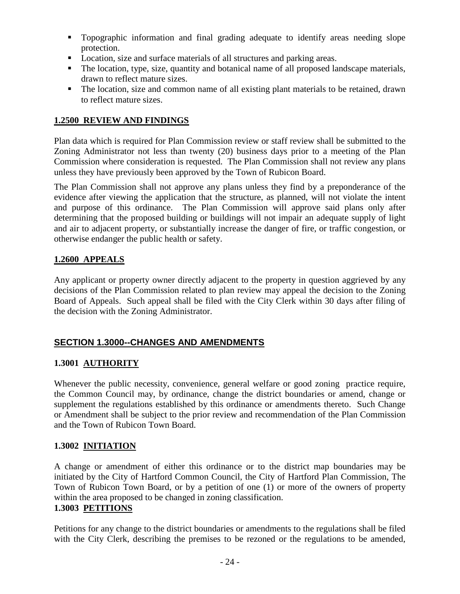- Topographic information and final grading adequate to identify areas needing slope protection.
- Location, size and surface materials of all structures and parking areas.
- The location, type, size, quantity and botanical name of all proposed landscape materials, drawn to reflect mature sizes.
- The location, size and common name of all existing plant materials to be retained, drawn to reflect mature sizes.

## **1.2500 REVIEW AND FINDINGS**

Plan data which is required for Plan Commission review or staff review shall be submitted to the Zoning Administrator not less than twenty (20) business days prior to a meeting of the Plan Commission where consideration is requested. The Plan Commission shall not review any plans unless they have previously been approved by the Town of Rubicon Board.

The Plan Commission shall not approve any plans unless they find by a preponderance of the evidence after viewing the application that the structure, as planned, will not violate the intent and purpose of this ordinance. The Plan Commission will approve said plans only after determining that the proposed building or buildings will not impair an adequate supply of light and air to adjacent property, or substantially increase the danger of fire, or traffic congestion, or otherwise endanger the public health or safety.

## **1.2600 APPEALS**

Any applicant or property owner directly adjacent to the property in question aggrieved by any decisions of the Plan Commission related to plan review may appeal the decision to the Zoning Board of Appeals. Such appeal shall be filed with the City Clerk within 30 days after filing of the decision with the Zoning Administrator.

# **SECTION 1.3000--CHANGES AND AMENDMENTS**

## **1.3001 AUTHORITY**

Whenever the public necessity, convenience, general welfare or good zoning practice require, the Common Council may, by ordinance, change the district boundaries or amend, change or supplement the regulations established by this ordinance or amendments thereto. Such Change or Amendment shall be subject to the prior review and recommendation of the Plan Commission and the Town of Rubicon Town Board.

## **1.3002 INITIATION**

A change or amendment of either this ordinance or to the district map boundaries may be initiated by the City of Hartford Common Council, the City of Hartford Plan Commission, The Town of Rubicon Town Board, or by a petition of one (1) or more of the owners of property within the area proposed to be changed in zoning classification. **1.3003 PETITIONS**

Petitions for any change to the district boundaries or amendments to the regulations shall be filed with the City Clerk, describing the premises to be rezoned or the regulations to be amended,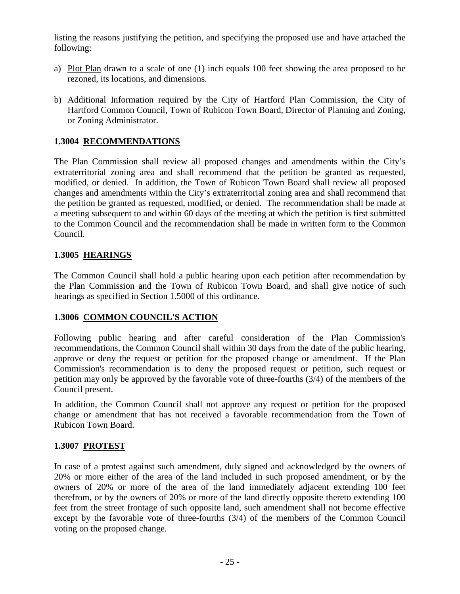listing the reasons justifying the petition, and specifying the proposed use and have attached the following:

- a) Plot Plan drawn to a scale of one (1) inch equals 100 feet showing the area proposed to be rezoned, its locations, and dimensions.
- b) Additional Information required by the City of Hartford Plan Commission, the City of Hartford Common Council, Town of Rubicon Town Board, Director of Planning and Zoning, or Zoning Administrator.

## **1.3004 RECOMMENDATIONS**

The Plan Commission shall review all proposed changes and amendments within the City's extraterritorial zoning area and shall recommend that the petition be granted as requested, modified, or denied. In addition, the Town of Rubicon Town Board shall review all proposed changes and amendments within the City's extraterritorial zoning area and shall recommend that the petition be granted as requested, modified, or denied. The recommendation shall be made at a meeting subsequent to and within 60 days of the meeting at which the petition is first submitted to the Common Council and the recommendation shall be made in written form to the Common Council.

## **1.3005 HEARINGS**

The Common Council shall hold a public hearing upon each petition after recommendation by the Plan Commission and the Town of Rubicon Town Board, and shall give notice of such hearings as specified in Section 1.5000 of this ordinance.

## **1.3006 COMMON COUNCIL'S ACTION**

Following public hearing and after careful consideration of the Plan Commission's recommendations, the Common Council shall within 30 days from the date of the public hearing, approve or deny the request or petition for the proposed change or amendment. If the Plan Commission's recommendation is to deny the proposed request or petition, such request or petition may only be approved by the favorable vote of three-fourths (3/4) of the members of the Council present.

In addition, the Common Council shall not approve any request or petition for the proposed change or amendment that has not received a favorable recommendation from the Town of Rubicon Town Board.

## **1.3007 PROTEST**

In case of a protest against such amendment, duly signed and acknowledged by the owners of 20% or more either of the area of the land included in such proposed amendment, or by the owners of 20% or more of the area of the land immediately adjacent extending 100 feet therefrom, or by the owners of 20% or more of the land directly opposite thereto extending 100 feet from the street frontage of such opposite land, such amendment shall not become effective except by the favorable vote of three-fourths (3/4) of the members of the Common Council voting on the proposed change.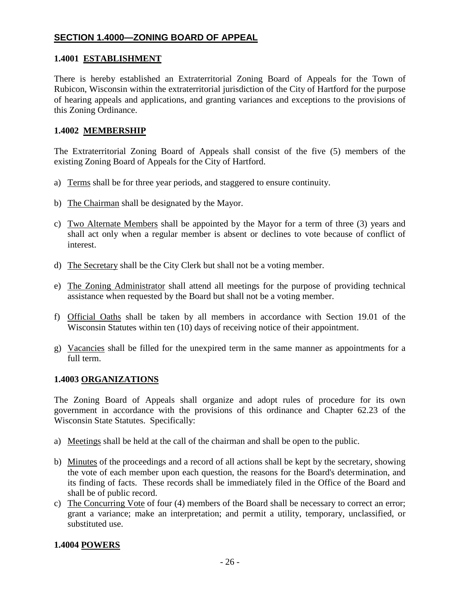## **SECTION 1.4000—ZONING BOARD OF APPEAL**

## **1.4001 ESTABLISHMENT**

There is hereby established an Extraterritorial Zoning Board of Appeals for the Town of Rubicon, Wisconsin within the extraterritorial jurisdiction of the City of Hartford for the purpose of hearing appeals and applications, and granting variances and exceptions to the provisions of this Zoning Ordinance.

## **1.4002 MEMBERSHIP**

The Extraterritorial Zoning Board of Appeals shall consist of the five (5) members of the existing Zoning Board of Appeals for the City of Hartford.

- a) Terms shall be for three year periods, and staggered to ensure continuity.
- b) The Chairman shall be designated by the Mayor.
- c) Two Alternate Members shall be appointed by the Mayor for a term of three (3) years and shall act only when a regular member is absent or declines to vote because of conflict of interest.
- d) The Secretary shall be the City Clerk but shall not be a voting member.
- e) The Zoning Administrator shall attend all meetings for the purpose of providing technical assistance when requested by the Board but shall not be a voting member.
- f) Official Oaths shall be taken by all members in accordance with Section 19.01 of the Wisconsin Statutes within ten (10) days of receiving notice of their appointment.
- g) Vacancies shall be filled for the unexpired term in the same manner as appointments for a full term.

#### **1.4003 ORGANIZATIONS**

The Zoning Board of Appeals shall organize and adopt rules of procedure for its own government in accordance with the provisions of this ordinance and Chapter 62.23 of the Wisconsin State Statutes. Specifically:

- a) Meetings shall be held at the call of the chairman and shall be open to the public.
- b) Minutes of the proceedings and a record of all actions shall be kept by the secretary, showing the vote of each member upon each question, the reasons for the Board's determination, and its finding of facts. These records shall be immediately filed in the Office of the Board and shall be of public record.
- c) The Concurring Vote of four (4) members of the Board shall be necessary to correct an error; grant a variance; make an interpretation; and permit a utility, temporary, unclassified, or substituted use.

## **1.4004 POWERS**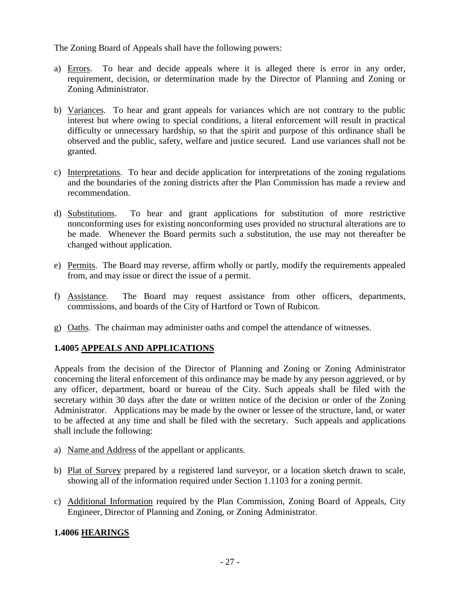The Zoning Board of Appeals shall have the following powers:

- a) Errors. To hear and decide appeals where it is alleged there is error in any order, requirement, decision, or determination made by the Director of Planning and Zoning or Zoning Administrator.
- b) Variances. To hear and grant appeals for variances which are not contrary to the public interest but where owing to special conditions, a literal enforcement will result in practical difficulty or unnecessary hardship, so that the spirit and purpose of this ordinance shall be observed and the public, safety, welfare and justice secured. Land use variances shall not be granted.
- c) Interpretations. To hear and decide application for interpretations of the zoning regulations and the boundaries of the zoning districts after the Plan Commission has made a review and recommendation.
- d) Substitutions. To hear and grant applications for substitution of more restrictive nonconforming uses for existing nonconforming uses provided no structural alterations are to be made. Whenever the Board permits such a substitution, the use may not thereafter be changed without application.
- e) Permits. The Board may reverse, affirm wholly or partly, modify the requirements appealed from, and may issue or direct the issue of a permit.
- f) Assistance. The Board may request assistance from other officers, departments, commissions, and boards of the City of Hartford or Town of Rubicon.
- g) Oaths. The chairman may administer oaths and compel the attendance of witnesses.

# **1.4005 APPEALS AND APPLICATIONS**

Appeals from the decision of the Director of Planning and Zoning or Zoning Administrator concerning the literal enforcement of this ordinance may be made by any person aggrieved, or by any officer, department, board or bureau of the City. Such appeals shall be filed with the secretary within 30 days after the date or written notice of the decision or order of the Zoning Administrator. Applications may be made by the owner or lessee of the structure, land, or water to be affected at any time and shall be filed with the secretary. Such appeals and applications shall include the following:

- a) Name and Address of the appellant or applicants.
- b) Plat of Survey prepared by a registered land surveyor, or a location sketch drawn to scale, showing all of the information required under Section 1.1103 for a zoning permit.
- c) Additional Information required by the Plan Commission, Zoning Board of Appeals, City Engineer, Director of Planning and Zoning, or Zoning Administrator.

# **1.4006 HEARINGS**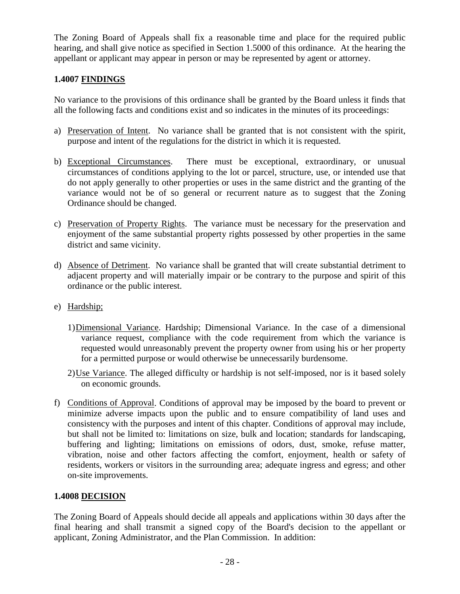The Zoning Board of Appeals shall fix a reasonable time and place for the required public hearing, and shall give notice as specified in Section 1.5000 of this ordinance. At the hearing the appellant or applicant may appear in person or may be represented by agent or attorney.

# **1.4007 FINDINGS**

No variance to the provisions of this ordinance shall be granted by the Board unless it finds that all the following facts and conditions exist and so indicates in the minutes of its proceedings:

- a) Preservation of Intent. No variance shall be granted that is not consistent with the spirit, purpose and intent of the regulations for the district in which it is requested.
- b) Exceptional Circumstances. There must be exceptional, extraordinary, or unusual circumstances of conditions applying to the lot or parcel, structure, use, or intended use that do not apply generally to other properties or uses in the same district and the granting of the variance would not be of so general or recurrent nature as to suggest that the Zoning Ordinance should be changed.
- c) Preservation of Property Rights. The variance must be necessary for the preservation and enjoyment of the same substantial property rights possessed by other properties in the same district and same vicinity.
- d) Absence of Detriment. No variance shall be granted that will create substantial detriment to adjacent property and will materially impair or be contrary to the purpose and spirit of this ordinance or the public interest.
- e) Hardship;
	- 1)Dimensional Variance. Hardship; Dimensional Variance. In the case of a dimensional variance request, compliance with the code requirement from which the variance is requested would unreasonably prevent the property owner from using his or her property for a permitted purpose or would otherwise be unnecessarily burdensome.
	- 2) Use Variance. The alleged difficulty or hardship is not self-imposed, nor is it based solely on economic grounds.
- f) Conditions of Approval. Conditions of approval may be imposed by the board to prevent or minimize adverse impacts upon the public and to ensure compatibility of land uses and consistency with the purposes and intent of this chapter. Conditions of approval may include, but shall not be limited to: limitations on size, bulk and location; standards for landscaping, buffering and lighting; limitations on emissions of odors, dust, smoke, refuse matter, vibration, noise and other factors affecting the comfort, enjoyment, health or safety of residents, workers or visitors in the surrounding area; adequate ingress and egress; and other on-site improvements.

## **1.4008 DECISION**

The Zoning Board of Appeals should decide all appeals and applications within 30 days after the final hearing and shall transmit a signed copy of the Board's decision to the appellant or applicant, Zoning Administrator, and the Plan Commission. In addition: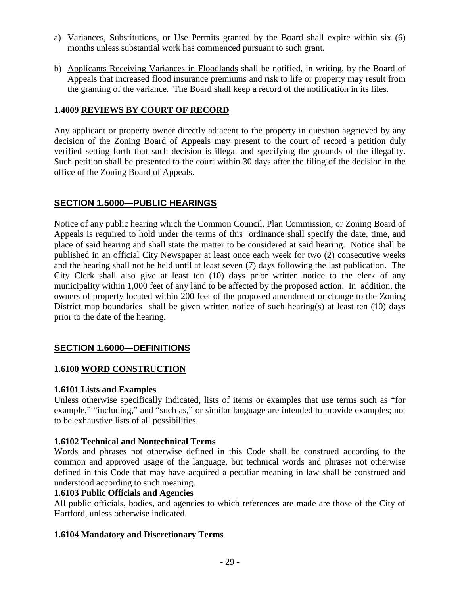- a) Variances, Substitutions, or Use Permits granted by the Board shall expire within six (6) months unless substantial work has commenced pursuant to such grant.
- b) Applicants Receiving Variances in Floodlands shall be notified, in writing, by the Board of Appeals that increased flood insurance premiums and risk to life or property may result from the granting of the variance. The Board shall keep a record of the notification in its files.

## **1.4009 REVIEWS BY COURT OF RECORD**

Any applicant or property owner directly adjacent to the property in question aggrieved by any decision of the Zoning Board of Appeals may present to the court of record a petition duly verified setting forth that such decision is illegal and specifying the grounds of the illegality. Such petition shall be presented to the court within 30 days after the filing of the decision in the office of the Zoning Board of Appeals.

# **SECTION 1.5000—PUBLIC HEARINGS**

Notice of any public hearing which the Common Council, Plan Commission, or Zoning Board of Appeals is required to hold under the terms of this ordinance shall specify the date, time, and place of said hearing and shall state the matter to be considered at said hearing. Notice shall be published in an official City Newspaper at least once each week for two (2) consecutive weeks and the hearing shall not be held until at least seven (7) days following the last publication. The City Clerk shall also give at least ten (10) days prior written notice to the clerk of any municipality within 1,000 feet of any land to be affected by the proposed action. In addition, the owners of property located within 200 feet of the proposed amendment or change to the Zoning District map boundaries shall be given written notice of such hearing(s) at least ten (10) days prior to the date of the hearing.

# **SECTION 1.6000—DEFINITIONS**

## **1.6100 WORD CONSTRUCTION**

## **1.6101 Lists and Examples**

Unless otherwise specifically indicated, lists of items or examples that use terms such as "for example," "including," and "such as," or similar language are intended to provide examples; not to be exhaustive lists of all possibilities.

## **1.6102 Technical and Nontechnical Terms**

Words and phrases not otherwise defined in this Code shall be construed according to the common and approved usage of the language, but technical words and phrases not otherwise defined in this Code that may have acquired a peculiar meaning in law shall be construed and understood according to such meaning.

## **1.6103 Public Officials and Agencies**

All public officials, bodies, and agencies to which references are made are those of the City of Hartford, unless otherwise indicated.

## **1.6104 Mandatory and Discretionary Terms**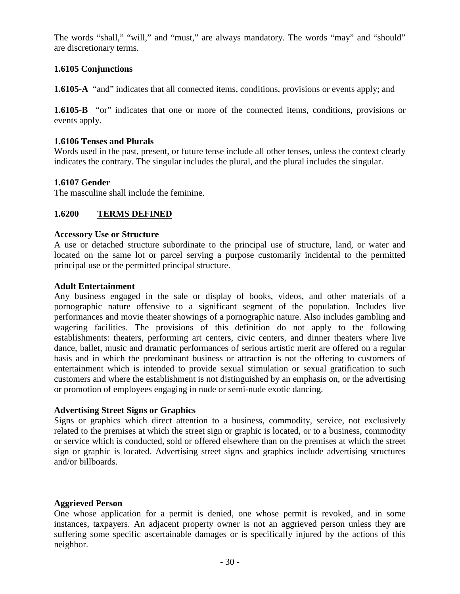The words "shall," "will," and "must," are always mandatory. The words "may" and "should" are discretionary terms.

## **1.6105 Conjunctions**

**1.6105-A** "and" indicates that all connected items, conditions, provisions or events apply; and

**1.6105-B** "or" indicates that one or more of the connected items, conditions, provisions or events apply.

#### **1.6106 Tenses and Plurals**

Words used in the past, present, or future tense include all other tenses, unless the context clearly indicates the contrary. The singular includes the plural, and the plural includes the singular.

#### **1.6107 Gender**

The masculine shall include the feminine.

#### **1.6200 TERMS DEFINED**

#### **Accessory Use or Structure**

A use or detached structure subordinate to the principal use of structure, land, or water and located on the same lot or parcel serving a purpose customarily incidental to the permitted principal use or the permitted principal structure.

#### **Adult Entertainment**

Any business engaged in the sale or display of books, videos, and other materials of a pornographic nature offensive to a significant segment of the population. Includes live performances and movie theater showings of a pornographic nature. Also includes gambling and wagering facilities. The provisions of this definition do not apply to the following establishments: theaters, performing art centers, civic centers, and dinner theaters where live dance, ballet, music and dramatic performances of serious artistic merit are offered on a regular basis and in which the predominant business or attraction is not the offering to customers of entertainment which is intended to provide sexual stimulation or sexual gratification to such customers and where the establishment is not distinguished by an emphasis on, or the advertising or promotion of employees engaging in nude or semi-nude exotic dancing.

#### **Advertising Street Signs or Graphics**

Signs or graphics which direct attention to a business, commodity, service, not exclusively related to the premises at which the street sign or graphic is located, or to a business, commodity or service which is conducted, sold or offered elsewhere than on the premises at which the street sign or graphic is located. Advertising street signs and graphics include advertising structures and/or billboards.

#### **Aggrieved Person**

One whose application for a permit is denied, one whose permit is revoked, and in some instances, taxpayers. An adjacent property owner is not an aggrieved person unless they are suffering some specific ascertainable damages or is specifically injured by the actions of this neighbor.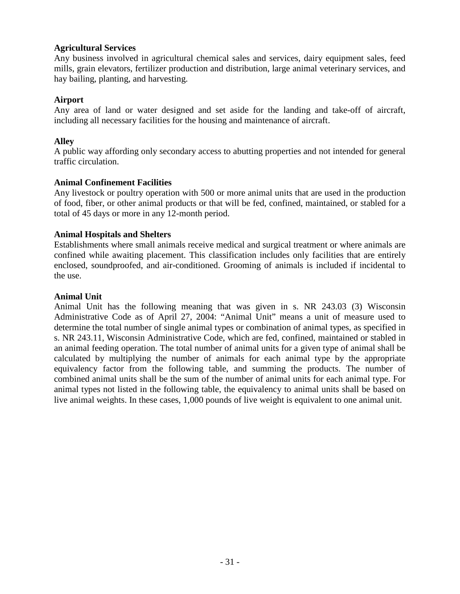## **Agricultural Services**

Any business involved in agricultural chemical sales and services, dairy equipment sales, feed mills, grain elevators, fertilizer production and distribution, large animal veterinary services, and hay bailing, planting, and harvesting.

#### **Airport**

Any area of land or water designed and set aside for the landing and take-off of aircraft, including all necessary facilities for the housing and maintenance of aircraft.

## **Alley**

A public way affording only secondary access to abutting properties and not intended for general traffic circulation.

## **Animal Confinement Facilities**

Any livestock or poultry operation with 500 or more animal units that are used in the production of food, fiber, or other animal products or that will be fed, confined, maintained, or stabled for a total of 45 days or more in any 12-month period.

## **Animal Hospitals and Shelters**

Establishments where small animals receive medical and surgical treatment or where animals are confined while awaiting placement. This classification includes only facilities that are entirely enclosed, soundproofed, and air-conditioned. Grooming of animals is included if incidental to the use.

#### **Animal Unit**

Animal Unit has the following meaning that was given in s. NR 243.03 (3) Wisconsin Administrative Code as of April 27, 2004: "Animal Unit" means a unit of measure used to determine the total number of single animal types or combination of animal types, as specified in s. NR 243.11, Wisconsin Administrative Code, which are fed, confined, maintained or stabled in an animal feeding operation. The total number of animal units for a given type of animal shall be calculated by multiplying the number of animals for each animal type by the appropriate equivalency factor from the following table, and summing the products. The number of combined animal units shall be the sum of the number of animal units for each animal type. For animal types not listed in the following table, the equivalency to animal units shall be based on live animal weights. In these cases, 1,000 pounds of live weight is equivalent to one animal unit.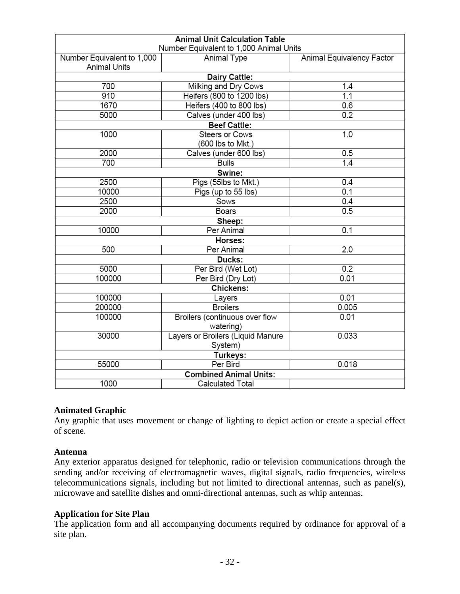| <b>Animal Unit Calculation Table</b>                                                                              |                                   |       |  |
|-------------------------------------------------------------------------------------------------------------------|-----------------------------------|-------|--|
| Number Equivalent to 1,000 Animal Units<br>Number Equivalent to 1,000<br>Animal Type<br>Animal Equivalency Factor |                                   |       |  |
| <b>Animal Units</b>                                                                                               |                                   |       |  |
| Dairy Cattle:                                                                                                     |                                   |       |  |
| 700                                                                                                               | Milking and Dry Cows              | 1.4   |  |
| 910                                                                                                               | Heifers (800 to 1200 lbs)         | 1.1   |  |
| 1670                                                                                                              | Heifers (400 to 800 lbs)          | 0.6   |  |
| 5000                                                                                                              | Calves (under 400 lbs)            | 0.2   |  |
| <b>Beef Cattle:</b>                                                                                               |                                   |       |  |
| 1000                                                                                                              | Steers or Cows                    | 1.0   |  |
|                                                                                                                   | (600 lbs to Mkt.)                 |       |  |
| 2000                                                                                                              | Calves (under 600 lbs)            | 0.5   |  |
| 700                                                                                                               | <b>Bulls</b>                      | 1.4   |  |
|                                                                                                                   | Swine:                            |       |  |
| 2500                                                                                                              | Pigs (55lbs to Mkt.)              | 0.4   |  |
| 10000                                                                                                             | Pigs (up to 55 lbs)               | 0.1   |  |
| 2500                                                                                                              | Sows                              | 0.4   |  |
| 2000                                                                                                              | <b>Boars</b>                      | 0.5   |  |
| Sheep:                                                                                                            |                                   |       |  |
| 10000                                                                                                             | Per Animal                        | 0.1   |  |
| Horses:                                                                                                           |                                   |       |  |
| 500                                                                                                               | Per Animal                        | 2.0   |  |
| Ducks:                                                                                                            |                                   |       |  |
| 5000                                                                                                              | Per Bird (Wet Lot)                | 0.2   |  |
| 100000                                                                                                            | Per Bird (Dry Lot)                | 0.01  |  |
| Chickens:                                                                                                         |                                   |       |  |
| 100000                                                                                                            | Layers                            | 0.01  |  |
| 200000                                                                                                            | <b>Broilers</b>                   | 0.005 |  |
| 100000                                                                                                            | Broilers (continuous over flow    | 0.01  |  |
|                                                                                                                   | watering)                         |       |  |
| 30000                                                                                                             | Layers or Broilers (Liquid Manure | 0.033 |  |
|                                                                                                                   | System)                           |       |  |
| Turkeys:                                                                                                          |                                   |       |  |
| 55000                                                                                                             | Per Bird                          | 0.018 |  |
| <b>Combined Animal Units:</b>                                                                                     |                                   |       |  |
| 1000                                                                                                              | Calculated Total                  |       |  |

## **Animated Graphic**

Any graphic that uses movement or change of lighting to depict action or create a special effect of scene.

#### **Antenna**

Any exterior apparatus designed for telephonic, radio or television communications through the sending and/or receiving of electromagnetic waves, digital signals, radio frequencies, wireless telecommunications signals, including but not limited to directional antennas, such as panel(s), microwave and satellite dishes and omni-directional antennas, such as whip antennas.

## **Application for Site Plan**

The application form and all accompanying documents required by ordinance for approval of a site plan.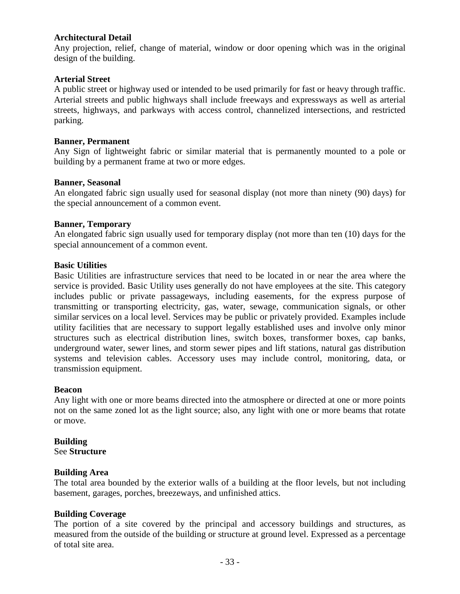## **Architectural Detail**

Any projection, relief, change of material, window or door opening which was in the original design of the building.

#### **Arterial Street**

A public street or highway used or intended to be used primarily for fast or heavy through traffic. Arterial streets and public highways shall include freeways and expressways as well as arterial streets, highways, and parkways with access control, channelized intersections, and restricted parking.

#### **Banner, Permanent**

Any Sign of lightweight fabric or similar material that is permanently mounted to a pole or building by a permanent frame at two or more edges.

#### **Banner, Seasonal**

An elongated fabric sign usually used for seasonal display (not more than ninety (90) days) for the special announcement of a common event.

#### **Banner, Temporary**

An elongated fabric sign usually used for temporary display (not more than ten (10) days for the special announcement of a common event.

#### **Basic Utilities**

Basic Utilities are infrastructure services that need to be located in or near the area where the service is provided. Basic Utility uses generally do not have employees at the site. This category includes public or private passageways, including easements, for the express purpose of transmitting or transporting electricity, gas, water, sewage, communication signals, or other similar services on a local level. Services may be public or privately provided. Examples include utility facilities that are necessary to support legally established uses and involve only minor structures such as electrical distribution lines, switch boxes, transformer boxes, cap banks, underground water, sewer lines, and storm sewer pipes and lift stations, natural gas distribution systems and television cables. Accessory uses may include control, monitoring, data, or transmission equipment.

#### **Beacon**

Any light with one or more beams directed into the atmosphere or directed at one or more points not on the same zoned lot as the light source; also, any light with one or more beams that rotate or move.

#### **Building**

See **Structure**

#### **Building Area**

The total area bounded by the exterior walls of a building at the floor levels, but not including basement, garages, porches, breezeways, and unfinished attics.

#### **Building Coverage**

The portion of a site covered by the principal and accessory buildings and structures, as measured from the outside of the building or structure at ground level. Expressed as a percentage of total site area.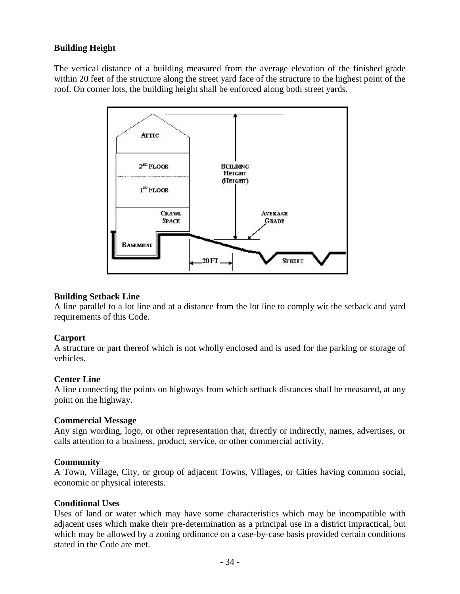# **Building Height**

The vertical distance of a building measured from the average elevation of the finished grade within 20 feet of the structure along the street yard face of the structure to the highest point of the roof. On corner lots, the building height shall be enforced along both street yards.



## **Building Setback Line**

A line parallel to a lot line and at a distance from the lot line to comply wit the setback and yard requirements of this Code.

#### **Carport**

A structure or part thereof which is not wholly enclosed and is used for the parking or storage of vehicles.

## **Center Line**

A line connecting the points on highways from which setback distances shall be measured, at any point on the highway.

## **Commercial Message**

Any sign wording, logo, or other representation that, directly or indirectly, names, advertises, or calls attention to a business, product, service, or other commercial activity.

## **Community**

A Town, Village, City, or group of adjacent Towns, Villages, or Cities having common social, economic or physical interests.

#### **Conditional Uses**

Uses of land or water which may have some characteristics which may be incompatible with adjacent uses which make their pre-determination as a principal use in a district impractical, but which may be allowed by a zoning ordinance on a case-by-case basis provided certain conditions stated in the Code are met.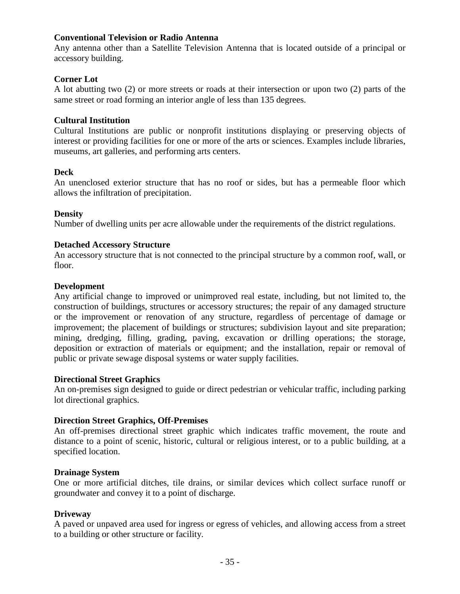## **Conventional Television or Radio Antenna**

Any antenna other than a Satellite Television Antenna that is located outside of a principal or accessory building.

## **Corner Lot**

A lot abutting two (2) or more streets or roads at their intersection or upon two (2) parts of the same street or road forming an interior angle of less than 135 degrees.

#### **Cultural Institution**

Cultural Institutions are public or nonprofit institutions displaying or preserving objects of interest or providing facilities for one or more of the arts or sciences. Examples include libraries, museums, art galleries, and performing arts centers.

#### **Deck**

An unenclosed exterior structure that has no roof or sides, but has a permeable floor which allows the infiltration of precipitation.

#### **Density**

Number of dwelling units per acre allowable under the requirements of the district regulations.

#### **Detached Accessory Structure**

An accessory structure that is not connected to the principal structure by a common roof, wall, or floor.

#### **Development**

Any artificial change to improved or unimproved real estate, including, but not limited to, the construction of buildings, structures or accessory structures; the repair of any damaged structure or the improvement or renovation of any structure, regardless of percentage of damage or improvement; the placement of buildings or structures; subdivision layout and site preparation; mining, dredging, filling, grading, paving, excavation or drilling operations; the storage, deposition or extraction of materials or equipment; and the installation, repair or removal of public or private sewage disposal systems or water supply facilities.

#### **Directional Street Graphics**

An on-premises sign designed to guide or direct pedestrian or vehicular traffic, including parking lot directional graphics.

## **Direction Street Graphics, Off-Premises**

An off-premises directional street graphic which indicates traffic movement, the route and distance to a point of scenic, historic, cultural or religious interest, or to a public building, at a specified location.

#### **Drainage System**

One or more artificial ditches, tile drains, or similar devices which collect surface runoff or groundwater and convey it to a point of discharge.

#### **Driveway**

A paved or unpaved area used for ingress or egress of vehicles, and allowing access from a street to a building or other structure or facility.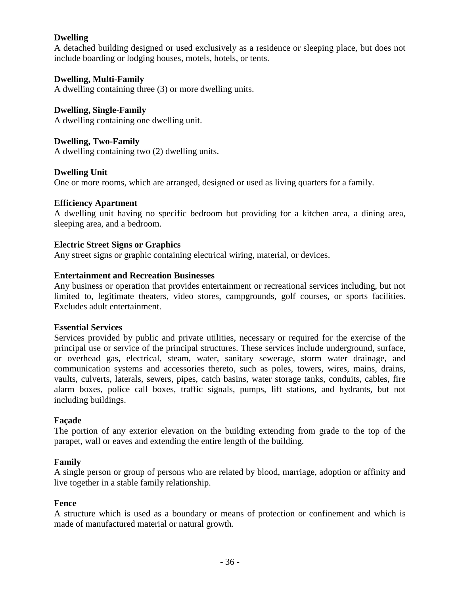## **Dwelling**

A detached building designed or used exclusively as a residence or sleeping place, but does not include boarding or lodging houses, motels, hotels, or tents.

## **Dwelling, Multi-Family**

A dwelling containing three (3) or more dwelling units.

## **Dwelling, Single-Family**

A dwelling containing one dwelling unit.

## **Dwelling, Two-Family**

A dwelling containing two (2) dwelling units.

## **Dwelling Unit**

One or more rooms, which are arranged, designed or used as living quarters for a family.

## **Efficiency Apartment**

A dwelling unit having no specific bedroom but providing for a kitchen area, a dining area, sleeping area, and a bedroom.

## **Electric Street Signs or Graphics**

Any street signs or graphic containing electrical wiring, material, or devices.

## **Entertainment and Recreation Businesses**

Any business or operation that provides entertainment or recreational services including, but not limited to, legitimate theaters, video stores, campgrounds, golf courses, or sports facilities. Excludes adult entertainment.

## **Essential Services**

Services provided by public and private utilities, necessary or required for the exercise of the principal use or service of the principal structures. These services include underground, surface, or overhead gas, electrical, steam, water, sanitary sewerage, storm water drainage, and communication systems and accessories thereto, such as poles, towers, wires, mains, drains, vaults, culverts, laterals, sewers, pipes, catch basins, water storage tanks, conduits, cables, fire alarm boxes, police call boxes, traffic signals, pumps, lift stations, and hydrants, but not including buildings.

## **Façade**

The portion of any exterior elevation on the building extending from grade to the top of the parapet, wall or eaves and extending the entire length of the building.

## **Family**

A single person or group of persons who are related by blood, marriage, adoption or affinity and live together in a stable family relationship.

## **Fence**

A structure which is used as a boundary or means of protection or confinement and which is made of manufactured material or natural growth.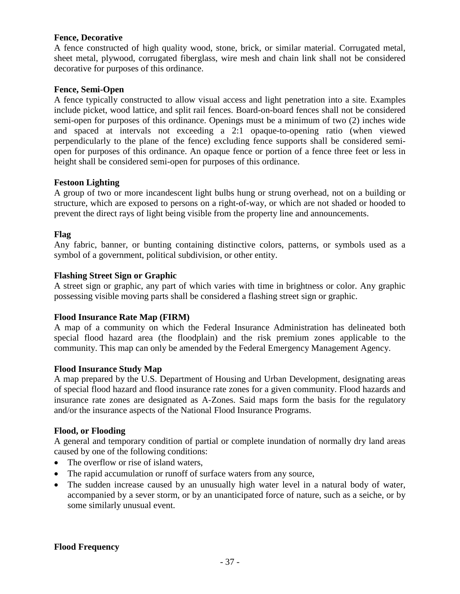#### **Fence, Decorative**

A fence constructed of high quality wood, stone, brick, or similar material. Corrugated metal, sheet metal, plywood, corrugated fiberglass, wire mesh and chain link shall not be considered decorative for purposes of this ordinance.

#### **Fence, Semi-Open**

A fence typically constructed to allow visual access and light penetration into a site. Examples include picket, wood lattice, and split rail fences. Board-on-board fences shall not be considered semi-open for purposes of this ordinance. Openings must be a minimum of two (2) inches wide and spaced at intervals not exceeding a 2:1 opaque-to-opening ratio (when viewed perpendicularly to the plane of the fence) excluding fence supports shall be considered semiopen for purposes of this ordinance. An opaque fence or portion of a fence three feet or less in height shall be considered semi-open for purposes of this ordinance.

## **Festoon Lighting**

A group of two or more incandescent light bulbs hung or strung overhead, not on a building or structure, which are exposed to persons on a right-of-way, or which are not shaded or hooded to prevent the direct rays of light being visible from the property line and announcements.

## **Flag**

Any fabric, banner, or bunting containing distinctive colors, patterns, or symbols used as a symbol of a government, political subdivision, or other entity.

## **Flashing Street Sign or Graphic**

A street sign or graphic, any part of which varies with time in brightness or color. Any graphic possessing visible moving parts shall be considered a flashing street sign or graphic.

#### **Flood Insurance Rate Map (FIRM)**

A map of a community on which the Federal Insurance Administration has delineated both special flood hazard area (the floodplain) and the risk premium zones applicable to the community. This map can only be amended by the Federal Emergency Management Agency.

#### **Flood Insurance Study Map**

A map prepared by the U.S. Department of Housing and Urban Development, designating areas of special flood hazard and flood insurance rate zones for a given community. Flood hazards and insurance rate zones are designated as A-Zones. Said maps form the basis for the regulatory and/or the insurance aspects of the National Flood Insurance Programs.

#### **Flood, or Flooding**

A general and temporary condition of partial or complete inundation of normally dry land areas caused by one of the following conditions:

- The overflow or rise of island waters,
- The rapid accumulation or runoff of surface waters from any source,
- The sudden increase caused by an unusually high water level in a natural body of water, accompanied by a sever storm, or by an unanticipated force of nature, such as a seiche, or by some similarly unusual event.

## **Flood Frequency**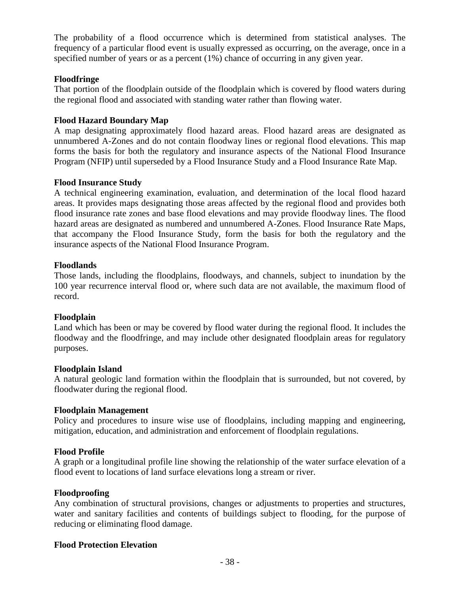The probability of a flood occurrence which is determined from statistical analyses. The frequency of a particular flood event is usually expressed as occurring, on the average, once in a specified number of years or as a percent (1%) chance of occurring in any given year.

## **Floodfringe**

That portion of the floodplain outside of the floodplain which is covered by flood waters during the regional flood and associated with standing water rather than flowing water.

#### **Flood Hazard Boundary Map**

A map designating approximately flood hazard areas. Flood hazard areas are designated as unnumbered A-Zones and do not contain floodway lines or regional flood elevations. This map forms the basis for both the regulatory and insurance aspects of the National Flood Insurance Program (NFIP) until superseded by a Flood Insurance Study and a Flood Insurance Rate Map.

## **Flood Insurance Study**

A technical engineering examination, evaluation, and determination of the local flood hazard areas. It provides maps designating those areas affected by the regional flood and provides both flood insurance rate zones and base flood elevations and may provide floodway lines. The flood hazard areas are designated as numbered and unnumbered A-Zones. Flood Insurance Rate Maps, that accompany the Flood Insurance Study, form the basis for both the regulatory and the insurance aspects of the National Flood Insurance Program.

#### **Floodlands**

Those lands, including the floodplains, floodways, and channels, subject to inundation by the 100 year recurrence interval flood or, where such data are not available, the maximum flood of record.

#### **Floodplain**

Land which has been or may be covered by flood water during the regional flood. It includes the floodway and the floodfringe, and may include other designated floodplain areas for regulatory purposes.

#### **Floodplain Island**

A natural geologic land formation within the floodplain that is surrounded, but not covered, by floodwater during the regional flood.

#### **Floodplain Management**

Policy and procedures to insure wise use of floodplains, including mapping and engineering, mitigation, education, and administration and enforcement of floodplain regulations.

## **Flood Profile**

A graph or a longitudinal profile line showing the relationship of the water surface elevation of a flood event to locations of land surface elevations long a stream or river.

## **Floodproofing**

Any combination of structural provisions, changes or adjustments to properties and structures, water and sanitary facilities and contents of buildings subject to flooding, for the purpose of reducing or eliminating flood damage.

#### **Flood Protection Elevation**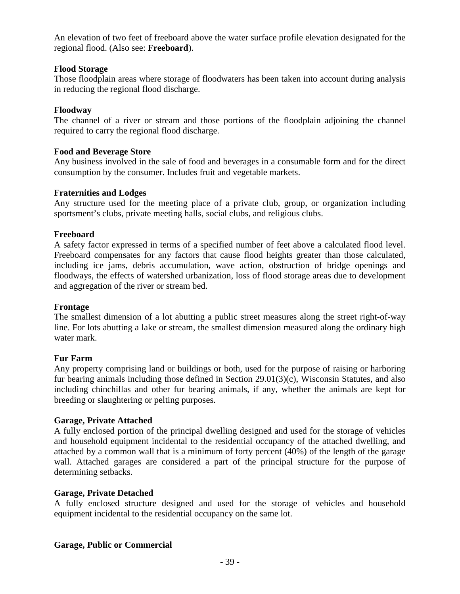An elevation of two feet of freeboard above the water surface profile elevation designated for the regional flood. (Also see: **Freeboard**).

#### **Flood Storage**

Those floodplain areas where storage of floodwaters has been taken into account during analysis in reducing the regional flood discharge.

#### **Floodway**

The channel of a river or stream and those portions of the floodplain adjoining the channel required to carry the regional flood discharge.

#### **Food and Beverage Store**

Any business involved in the sale of food and beverages in a consumable form and for the direct consumption by the consumer. Includes fruit and vegetable markets.

#### **Fraternities and Lodges**

Any structure used for the meeting place of a private club, group, or organization including sportsment's clubs, private meeting halls, social clubs, and religious clubs.

## **Freeboard**

A safety factor expressed in terms of a specified number of feet above a calculated flood level. Freeboard compensates for any factors that cause flood heights greater than those calculated, including ice jams, debris accumulation, wave action, obstruction of bridge openings and floodways, the effects of watershed urbanization, loss of flood storage areas due to development and aggregation of the river or stream bed.

#### **Frontage**

The smallest dimension of a lot abutting a public street measures along the street right-of-way line. For lots abutting a lake or stream, the smallest dimension measured along the ordinary high water mark.

#### **Fur Farm**

Any property comprising land or buildings or both, used for the purpose of raising or harboring fur bearing animals including those defined in Section 29.01(3)(c), Wisconsin Statutes, and also including chinchillas and other fur bearing animals, if any, whether the animals are kept for breeding or slaughtering or pelting purposes.

#### **Garage, Private Attached**

A fully enclosed portion of the principal dwelling designed and used for the storage of vehicles and household equipment incidental to the residential occupancy of the attached dwelling, and attached by a common wall that is a minimum of forty percent (40%) of the length of the garage wall. Attached garages are considered a part of the principal structure for the purpose of determining setbacks.

#### **Garage, Private Detached**

A fully enclosed structure designed and used for the storage of vehicles and household equipment incidental to the residential occupancy on the same lot.

#### **Garage, Public or Commercial**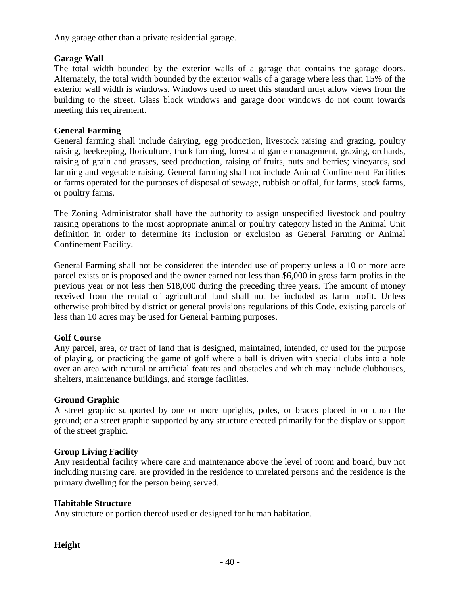Any garage other than a private residential garage.

## **Garage Wall**

The total width bounded by the exterior walls of a garage that contains the garage doors. Alternately, the total width bounded by the exterior walls of a garage where less than 15% of the exterior wall width is windows. Windows used to meet this standard must allow views from the building to the street. Glass block windows and garage door windows do not count towards meeting this requirement.

## **General Farming**

General farming shall include dairying, egg production, livestock raising and grazing, poultry raising, beekeeping, floriculture, truck farming, forest and game management, grazing, orchards, raising of grain and grasses, seed production, raising of fruits, nuts and berries; vineyards, sod farming and vegetable raising. General farming shall not include Animal Confinement Facilities or farms operated for the purposes of disposal of sewage, rubbish or offal, fur farms, stock farms, or poultry farms.

The Zoning Administrator shall have the authority to assign unspecified livestock and poultry raising operations to the most appropriate animal or poultry category listed in the Animal Unit definition in order to determine its inclusion or exclusion as General Farming or Animal Confinement Facility.

General Farming shall not be considered the intended use of property unless a 10 or more acre parcel exists or is proposed and the owner earned not less than \$6,000 in gross farm profits in the previous year or not less then \$18,000 during the preceding three years. The amount of money received from the rental of agricultural land shall not be included as farm profit. Unless otherwise prohibited by district or general provisions regulations of this Code, existing parcels of less than 10 acres may be used for General Farming purposes.

# **Golf Course**

Any parcel, area, or tract of land that is designed, maintained, intended, or used for the purpose of playing, or practicing the game of golf where a ball is driven with special clubs into a hole over an area with natural or artificial features and obstacles and which may include clubhouses, shelters, maintenance buildings, and storage facilities.

## **Ground Graphic**

A street graphic supported by one or more uprights, poles, or braces placed in or upon the ground; or a street graphic supported by any structure erected primarily for the display or support of the street graphic.

## **Group Living Facility**

Any residential facility where care and maintenance above the level of room and board, buy not including nursing care, are provided in the residence to unrelated persons and the residence is the primary dwelling for the person being served.

## **Habitable Structure**

Any structure or portion thereof used or designed for human habitation.

# **Height**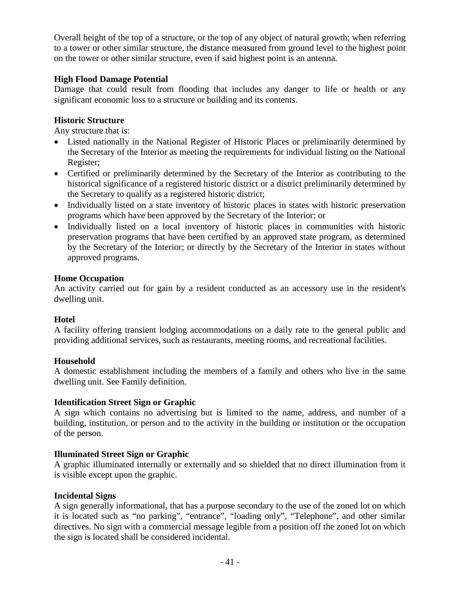Overall height of the top of a structure, or the top of any object of natural growth; when referring to a tower or other similar structure, the distance measured from ground level to the highest point on the tower or other similar structure, even if said highest point is an antenna.

## **High Flood Damage Potential**

Damage that could result from flooding that includes any danger to life or health or any significant economic loss to a structure or building and its contents.

## **Historic Structure**

Any structure that is:

- Listed nationally in the National Register of Historic Places or preliminarily determined by the Secretary of the Interior as meeting the requirements for individual listing on the National Register;
- Certified or preliminarily determined by the Secretary of the Interior as contributing to the historical significance of a registered historic district or a district preliminarily determined by the Secretary to qualify as a registered historic district;
- Individually listed on a state inventory of historic places in states with historic preservation programs which have been approved by the Secretary of the Interior; or
- Individually listed on a local inventory of historic places in communities with historic preservation programs that have been certified by an approved state program, as determined by the Secretary of the Interior; or directly by the Secretary of the Interior in states without approved programs.

## **Home Occupation**

An activity carried out for gain by a resident conducted as an accessory use in the resident's dwelling unit.

## **Hotel**

A facility offering transient lodging accommodations on a daily rate to the general public and providing additional services, such as restaurants, meeting rooms, and recreational facilities.

## **Household**

A domestic establishment including the members of a family and others who live in the same dwelling unit. See Family definition.

## **Identification Street Sign or Graphic**

A sign which contains no advertising but is limited to the name, address, and number of a building, institution, or person and to the activity in the building or institution or the occupation of the person.

## **Illuminated Street Sign or Graphic**

A graphic illuminated internally or externally and so shielded that no direct illumination from it is visible except upon the graphic.

## **Incidental Signs**

A sign generally informational, that has a purpose secondary to the use of the zoned lot on which it is located such as "no parking", "entrance", "loading only", "Telephone", and other similar directives. No sign with a commercial message legible from a position off the zoned lot on which the sign is located shall be considered incidental.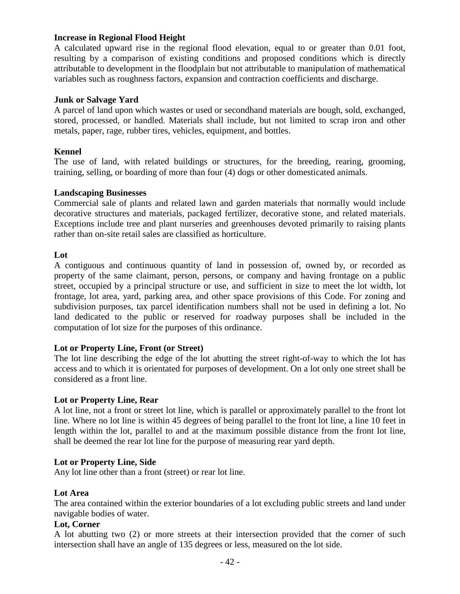## **Increase in Regional Flood Height**

A calculated upward rise in the regional flood elevation, equal to or greater than 0.01 foot, resulting by a comparison of existing conditions and proposed conditions which is directly attributable to development in the floodplain but not attributable to manipulation of mathematical variables such as roughness factors, expansion and contraction coefficients and discharge.

#### **Junk or Salvage Yard**

A parcel of land upon which wastes or used or secondhand materials are bough, sold, exchanged, stored, processed, or handled. Materials shall include, but not limited to scrap iron and other metals, paper, rage, rubber tires, vehicles, equipment, and bottles.

#### **Kennel**

The use of land, with related buildings or structures, for the breeding, rearing, grooming, training, selling, or boarding of more than four (4) dogs or other domesticated animals.

#### **Landscaping Businesses**

Commercial sale of plants and related lawn and garden materials that normally would include decorative structures and materials, packaged fertilizer, decorative stone, and related materials. Exceptions include tree and plant nurseries and greenhouses devoted primarily to raising plants rather than on-site retail sales are classified as horticulture.

#### **Lot**

A contiguous and continuous quantity of land in possession of, owned by, or recorded as property of the same claimant, person, persons, or company and having frontage on a public street, occupied by a principal structure or use, and sufficient in size to meet the lot width, lot frontage, lot area, yard, parking area, and other space provisions of this Code. For zoning and subdivision purposes, tax parcel identification numbers shall not be used in defining a lot. No land dedicated to the public or reserved for roadway purposes shall be included in the computation of lot size for the purposes of this ordinance.

#### **Lot or Property Line, Front (or Street)**

The lot line describing the edge of the lot abutting the street right-of-way to which the lot has access and to which it is orientated for purposes of development. On a lot only one street shall be considered as a front line.

#### **Lot or Property Line, Rear**

A lot line, not a front or street lot line, which is parallel or approximately parallel to the front lot line. Where no lot line is within 45 degrees of being parallel to the front lot line, a line 10 feet in length within the lot, parallel to and at the maximum possible distance from the front lot line, shall be deemed the rear lot line for the purpose of measuring rear yard depth.

#### **Lot or Property Line, Side**

Any lot line other than a front (street) or rear lot line.

#### **Lot Area**

The area contained within the exterior boundaries of a lot excluding public streets and land under navigable bodies of water.

## **Lot, Corner**

A lot abutting two (2) or more streets at their intersection provided that the corner of such intersection shall have an angle of 135 degrees or less, measured on the lot side.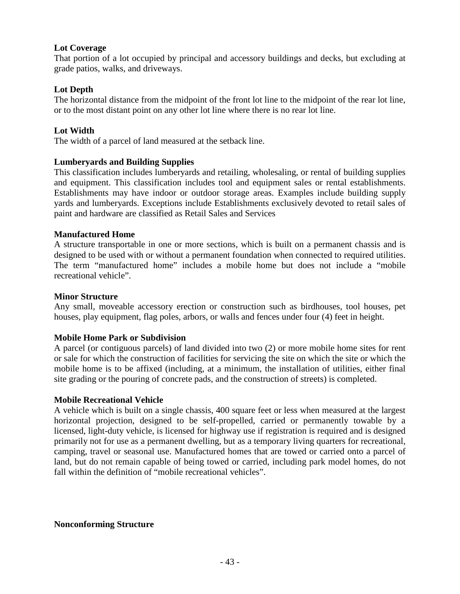## **Lot Coverage**

That portion of a lot occupied by principal and accessory buildings and decks, but excluding at grade patios, walks, and driveways.

## **Lot Depth**

The horizontal distance from the midpoint of the front lot line to the midpoint of the rear lot line, or to the most distant point on any other lot line where there is no rear lot line.

## **Lot Width**

The width of a parcel of land measured at the setback line.

## **Lumberyards and Building Supplies**

This classification includes lumberyards and retailing, wholesaling, or rental of building supplies and equipment. This classification includes tool and equipment sales or rental establishments. Establishments may have indoor or outdoor storage areas. Examples include building supply yards and lumberyards. Exceptions include Establishments exclusively devoted to retail sales of paint and hardware are classified as Retail Sales and Services

## **Manufactured Home**

A structure transportable in one or more sections, which is built on a permanent chassis and is designed to be used with or without a permanent foundation when connected to required utilities. The term "manufactured home" includes a mobile home but does not include a "mobile recreational vehicle".

#### **Minor Structure**

Any small, moveable accessory erection or construction such as birdhouses, tool houses, pet houses, play equipment, flag poles, arbors, or walls and fences under four (4) feet in height.

#### **Mobile Home Park or Subdivision**

A parcel (or contiguous parcels) of land divided into two (2) or more mobile home sites for rent or sale for which the construction of facilities for servicing the site on which the site or which the mobile home is to be affixed (including, at a minimum, the installation of utilities, either final site grading or the pouring of concrete pads, and the construction of streets) is completed.

#### **Mobile Recreational Vehicle**

A vehicle which is built on a single chassis, 400 square feet or less when measured at the largest horizontal projection, designed to be self-propelled, carried or permanently towable by a licensed, light-duty vehicle, is licensed for highway use if registration is required and is designed primarily not for use as a permanent dwelling, but as a temporary living quarters for recreational, camping, travel or seasonal use. Manufactured homes that are towed or carried onto a parcel of land, but do not remain capable of being towed or carried, including park model homes, do not fall within the definition of "mobile recreational vehicles".

#### **Nonconforming Structure**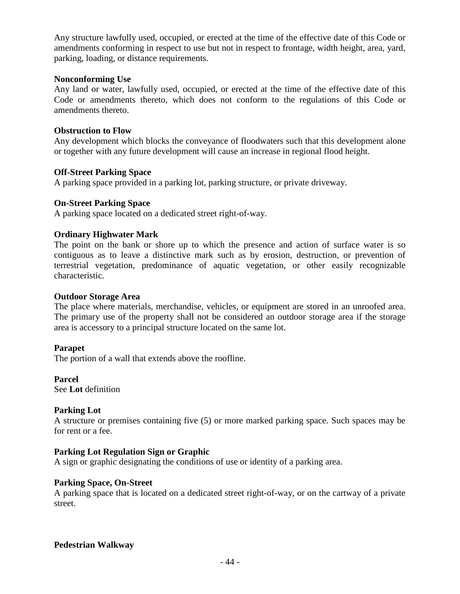Any structure lawfully used, occupied, or erected at the time of the effective date of this Code or amendments conforming in respect to use but not in respect to frontage, width height, area, yard, parking, loading, or distance requirements.

#### **Nonconforming Use**

Any land or water, lawfully used, occupied, or erected at the time of the effective date of this Code or amendments thereto, which does not conform to the regulations of this Code or amendments thereto.

#### **Obstruction to Flow**

Any development which blocks the conveyance of floodwaters such that this development alone or together with any future development will cause an increase in regional flood height.

#### **Off-Street Parking Space**

A parking space provided in a parking lot, parking structure, or private driveway.

#### **On-Street Parking Space**

A parking space located on a dedicated street right-of-way.

#### **Ordinary Highwater Mark**

The point on the bank or shore up to which the presence and action of surface water is so contiguous as to leave a distinctive mark such as by erosion, destruction, or prevention of terrestrial vegetation, predominance of aquatic vegetation, or other easily recognizable characteristic.

#### **Outdoor Storage Area**

The place where materials, merchandise, vehicles, or equipment are stored in an unroofed area. The primary use of the property shall not be considered an outdoor storage area if the storage area is accessory to a principal structure located on the same lot.

#### **Parapet**

The portion of a wall that extends above the roofline.

**Parcel** See **Lot** definition

#### **Parking Lot**

A structure or premises containing five (5) or more marked parking space. Such spaces may be for rent or a fee.

#### **Parking Lot Regulation Sign or Graphic**

A sign or graphic designating the conditions of use or identity of a parking area.

#### **Parking Space, On-Street**

A parking space that is located on a dedicated street right-of-way, or on the cartway of a private street.

#### **Pedestrian Walkway**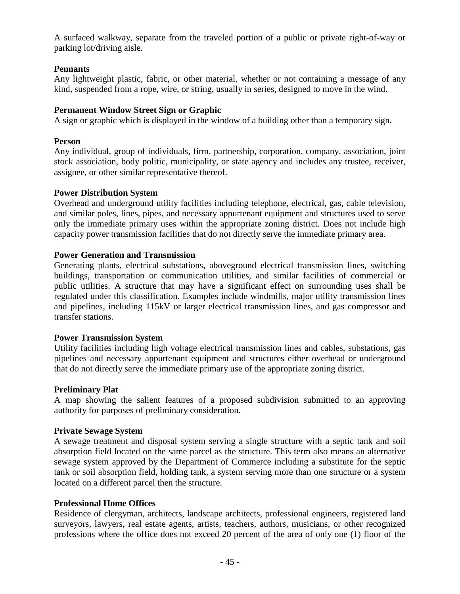A surfaced walkway, separate from the traveled portion of a public or private right-of-way or parking lot/driving aisle.

## **Pennants**

Any lightweight plastic, fabric, or other material, whether or not containing a message of any kind, suspended from a rope, wire, or string, usually in series, designed to move in the wind.

## **Permanent Window Street Sign or Graphic**

A sign or graphic which is displayed in the window of a building other than a temporary sign.

## **Person**

Any individual, group of individuals, firm, partnership, corporation, company, association, joint stock association, body politic, municipality, or state agency and includes any trustee, receiver, assignee, or other similar representative thereof.

## **Power Distribution System**

Overhead and underground utility facilities including telephone, electrical, gas, cable television, and similar poles, lines, pipes, and necessary appurtenant equipment and structures used to serve only the immediate primary uses within the appropriate zoning district. Does not include high capacity power transmission facilities that do not directly serve the immediate primary area.

## **Power Generation and Transmission**

Generating plants, electrical substations, aboveground electrical transmission lines, switching buildings, transportation or communication utilities, and similar facilities of commercial or public utilities. A structure that may have a significant effect on surrounding uses shall be regulated under this classification. Examples include windmills, major utility transmission lines and pipelines, including 115kV or larger electrical transmission lines, and gas compressor and transfer stations.

#### **Power Transmission System**

Utility facilities including high voltage electrical transmission lines and cables, substations, gas pipelines and necessary appurtenant equipment and structures either overhead or underground that do not directly serve the immediate primary use of the appropriate zoning district.

#### **Preliminary Plat**

A map showing the salient features of a proposed subdivision submitted to an approving authority for purposes of preliminary consideration.

#### **Private Sewage System**

A sewage treatment and disposal system serving a single structure with a septic tank and soil absorption field located on the same parcel as the structure. This term also means an alternative sewage system approved by the Department of Commerce including a substitute for the septic tank or soil absorption field, holding tank, a system serving more than one structure or a system located on a different parcel then the structure.

## **Professional Home Offices**

Residence of clergyman, architects, landscape architects, professional engineers, registered land surveyors, lawyers, real estate agents, artists, teachers, authors, musicians, or other recognized professions where the office does not exceed 20 percent of the area of only one (1) floor of the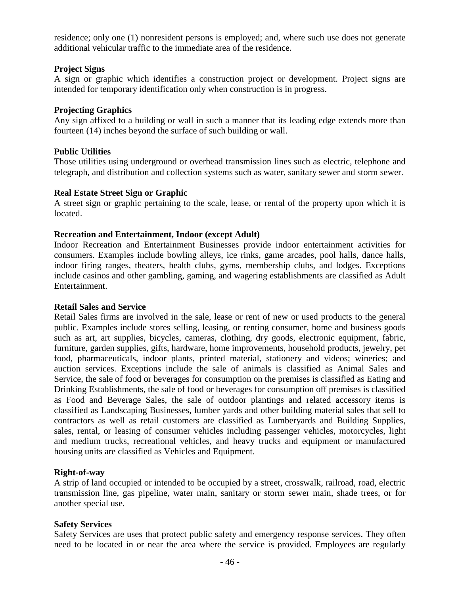residence; only one (1) nonresident persons is employed; and, where such use does not generate additional vehicular traffic to the immediate area of the residence.

## **Project Signs**

A sign or graphic which identifies a construction project or development. Project signs are intended for temporary identification only when construction is in progress.

#### **Projecting Graphics**

Any sign affixed to a building or wall in such a manner that its leading edge extends more than fourteen (14) inches beyond the surface of such building or wall.

## **Public Utilities**

Those utilities using underground or overhead transmission lines such as electric, telephone and telegraph, and distribution and collection systems such as water, sanitary sewer and storm sewer.

## **Real Estate Street Sign or Graphic**

A street sign or graphic pertaining to the scale, lease, or rental of the property upon which it is located.

## **Recreation and Entertainment, Indoor (except Adult)**

Indoor Recreation and Entertainment Businesses provide indoor entertainment activities for consumers. Examples include bowling alleys, ice rinks, game arcades, pool halls, dance halls, indoor firing ranges, theaters, health clubs, gyms, membership clubs, and lodges. Exceptions include casinos and other gambling, gaming, and wagering establishments are classified as Adult Entertainment.

#### **Retail Sales and Service**

Retail Sales firms are involved in the sale, lease or rent of new or used products to the general public. Examples include stores selling, leasing, or renting consumer, home and business goods such as art, art supplies, bicycles, cameras, clothing, dry goods, electronic equipment, fabric, furniture, garden supplies, gifts, hardware, home improvements, household products, jewelry, pet food, pharmaceuticals, indoor plants, printed material, stationery and videos; wineries; and auction services. Exceptions include the sale of animals is classified as Animal Sales and Service, the sale of food or beverages for consumption on the premises is classified as Eating and Drinking Establishments, the sale of food or beverages for consumption off premises is classified as Food and Beverage Sales, the sale of outdoor plantings and related accessory items is classified as Landscaping Businesses, lumber yards and other building material sales that sell to contractors as well as retail customers are classified as Lumberyards and Building Supplies, sales, rental, or leasing of consumer vehicles including passenger vehicles, motorcycles, light and medium trucks, recreational vehicles, and heavy trucks and equipment or manufactured housing units are classified as Vehicles and Equipment.

#### **Right-of-way**

A strip of land occupied or intended to be occupied by a street, crosswalk, railroad, road, electric transmission line, gas pipeline, water main, sanitary or storm sewer main, shade trees, or for another special use.

#### **Safety Services**

Safety Services are uses that protect public safety and emergency response services. They often need to be located in or near the area where the service is provided. Employees are regularly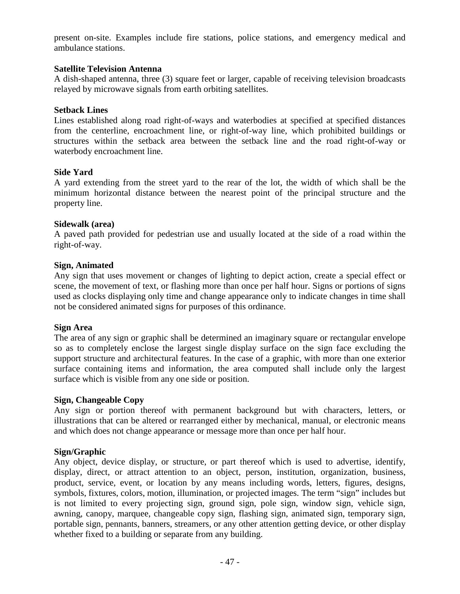present on-site. Examples include fire stations, police stations, and emergency medical and ambulance stations.

#### **Satellite Television Antenna**

A dish-shaped antenna, three (3) square feet or larger, capable of receiving television broadcasts relayed by microwave signals from earth orbiting satellites.

#### **Setback Lines**

Lines established along road right-of-ways and waterbodies at specified at specified distances from the centerline, encroachment line, or right-of-way line, which prohibited buildings or structures within the setback area between the setback line and the road right-of-way or waterbody encroachment line.

#### **Side Yard**

A yard extending from the street yard to the rear of the lot, the width of which shall be the minimum horizontal distance between the nearest point of the principal structure and the property line.

#### **Sidewalk (area)**

A paved path provided for pedestrian use and usually located at the side of a road within the right-of-way.

#### **Sign, Animated**

Any sign that uses movement or changes of lighting to depict action, create a special effect or scene, the movement of text, or flashing more than once per half hour. Signs or portions of signs used as clocks displaying only time and change appearance only to indicate changes in time shall not be considered animated signs for purposes of this ordinance.

#### **Sign Area**

The area of any sign or graphic shall be determined an imaginary square or rectangular envelope so as to completely enclose the largest single display surface on the sign face excluding the support structure and architectural features. In the case of a graphic, with more than one exterior surface containing items and information, the area computed shall include only the largest surface which is visible from any one side or position.

#### **Sign, Changeable Copy**

Any sign or portion thereof with permanent background but with characters, letters, or illustrations that can be altered or rearranged either by mechanical, manual, or electronic means and which does not change appearance or message more than once per half hour.

#### **Sign/Graphic**

Any object, device display, or structure, or part thereof which is used to advertise, identify, display, direct, or attract attention to an object, person, institution, organization, business, product, service, event, or location by any means including words, letters, figures, designs, symbols, fixtures, colors, motion, illumination, or projected images. The term "sign" includes but is not limited to every projecting sign, ground sign, pole sign, window sign, vehicle sign, awning, canopy, marquee, changeable copy sign, flashing sign, animated sign, temporary sign, portable sign, pennants, banners, streamers, or any other attention getting device, or other display whether fixed to a building or separate from any building.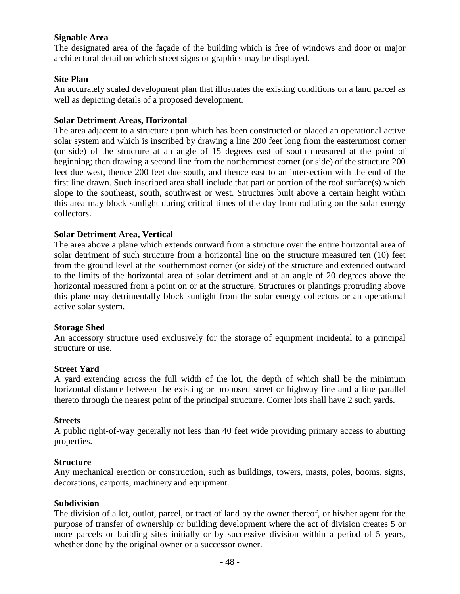## **Signable Area**

The designated area of the façade of the building which is free of windows and door or major architectural detail on which street signs or graphics may be displayed.

#### **Site Plan**

An accurately scaled development plan that illustrates the existing conditions on a land parcel as well as depicting details of a proposed development.

#### **Solar Detriment Areas, Horizontal**

The area adjacent to a structure upon which has been constructed or placed an operational active solar system and which is inscribed by drawing a line 200 feet long from the easternmost corner (or side) of the structure at an angle of 15 degrees east of south measured at the point of beginning; then drawing a second line from the northernmost corner (or side) of the structure 200 feet due west, thence 200 feet due south, and thence east to an intersection with the end of the first line drawn. Such inscribed area shall include that part or portion of the roof surface(s) which slope to the southeast, south, southwest or west. Structures built above a certain height within this area may block sunlight during critical times of the day from radiating on the solar energy collectors.

## **Solar Detriment Area, Vertical**

The area above a plane which extends outward from a structure over the entire horizontal area of solar detriment of such structure from a horizontal line on the structure measured ten (10) feet from the ground level at the southernmost corner (or side) of the structure and extended outward to the limits of the horizontal area of solar detriment and at an angle of 20 degrees above the horizontal measured from a point on or at the structure. Structures or plantings protruding above this plane may detrimentally block sunlight from the solar energy collectors or an operational active solar system.

#### **Storage Shed**

An accessory structure used exclusively for the storage of equipment incidental to a principal structure or use.

#### **Street Yard**

A yard extending across the full width of the lot, the depth of which shall be the minimum horizontal distance between the existing or proposed street or highway line and a line parallel thereto through the nearest point of the principal structure. Corner lots shall have 2 such yards.

#### **Streets**

A public right-of-way generally not less than 40 feet wide providing primary access to abutting properties.

#### **Structure**

Any mechanical erection or construction, such as buildings, towers, masts, poles, booms, signs, decorations, carports, machinery and equipment.

#### **Subdivision**

The division of a lot, outlot, parcel, or tract of land by the owner thereof, or his/her agent for the purpose of transfer of ownership or building development where the act of division creates 5 or more parcels or building sites initially or by successive division within a period of 5 years, whether done by the original owner or a successor owner.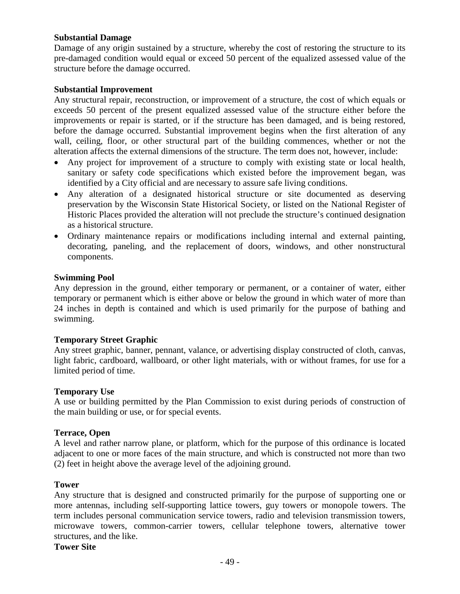## **Substantial Damage**

Damage of any origin sustained by a structure, whereby the cost of restoring the structure to its pre-damaged condition would equal or exceed 50 percent of the equalized assessed value of the structure before the damage occurred.

#### **Substantial Improvement**

Any structural repair, reconstruction, or improvement of a structure, the cost of which equals or exceeds 50 percent of the present equalized assessed value of the structure either before the improvements or repair is started, or if the structure has been damaged, and is being restored, before the damage occurred. Substantial improvement begins when the first alteration of any wall, ceiling, floor, or other structural part of the building commences, whether or not the alteration affects the external dimensions of the structure. The term does not, however, include:

- Any project for improvement of a structure to comply with existing state or local health, sanitary or safety code specifications which existed before the improvement began, was identified by a City official and are necessary to assure safe living conditions.
- Any alteration of a designated historical structure or site documented as deserving preservation by the Wisconsin State Historical Society, or listed on the National Register of Historic Places provided the alteration will not preclude the structure's continued designation as a historical structure.
- Ordinary maintenance repairs or modifications including internal and external painting, decorating, paneling, and the replacement of doors, windows, and other nonstructural components.

#### **Swimming Pool**

Any depression in the ground, either temporary or permanent, or a container of water, either temporary or permanent which is either above or below the ground in which water of more than 24 inches in depth is contained and which is used primarily for the purpose of bathing and swimming.

## **Temporary Street Graphic**

Any street graphic, banner, pennant, valance, or advertising display constructed of cloth, canvas, light fabric, cardboard, wallboard, or other light materials, with or without frames, for use for a limited period of time.

#### **Temporary Use**

A use or building permitted by the Plan Commission to exist during periods of construction of the main building or use, or for special events.

#### **Terrace, Open**

A level and rather narrow plane, or platform, which for the purpose of this ordinance is located adjacent to one or more faces of the main structure, and which is constructed not more than two (2) feet in height above the average level of the adjoining ground.

#### **Tower**

Any structure that is designed and constructed primarily for the purpose of supporting one or more antennas, including self-supporting lattice towers, guy towers or monopole towers. The term includes personal communication service towers, radio and television transmission towers, microwave towers, common-carrier towers, cellular telephone towers, alternative tower structures, and the like.

#### **Tower Site**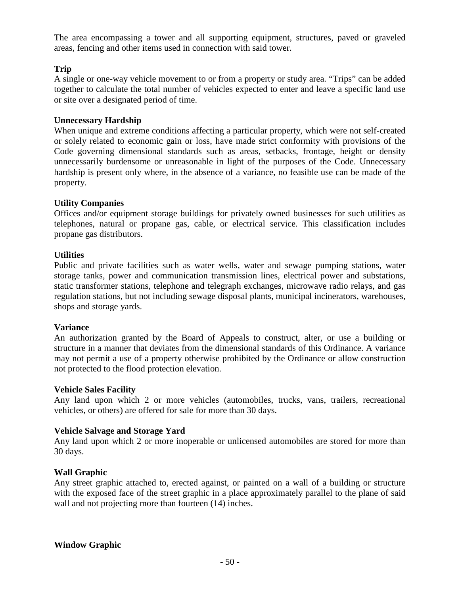The area encompassing a tower and all supporting equipment, structures, paved or graveled areas, fencing and other items used in connection with said tower.

## **Trip**

A single or one-way vehicle movement to or from a property or study area. "Trips" can be added together to calculate the total number of vehicles expected to enter and leave a specific land use or site over a designated period of time.

#### **Unnecessary Hardship**

When unique and extreme conditions affecting a particular property, which were not self-created or solely related to economic gain or loss, have made strict conformity with provisions of the Code governing dimensional standards such as areas, setbacks, frontage, height or density unnecessarily burdensome or unreasonable in light of the purposes of the Code. Unnecessary hardship is present only where, in the absence of a variance, no feasible use can be made of the property.

#### **Utility Companies**

Offices and/or equipment storage buildings for privately owned businesses for such utilities as telephones, natural or propane gas, cable, or electrical service. This classification includes propane gas distributors.

## **Utilities**

Public and private facilities such as water wells, water and sewage pumping stations, water storage tanks, power and communication transmission lines, electrical power and substations, static transformer stations, telephone and telegraph exchanges, microwave radio relays, and gas regulation stations, but not including sewage disposal plants, municipal incinerators, warehouses, shops and storage yards.

#### **Variance**

An authorization granted by the Board of Appeals to construct, alter, or use a building or structure in a manner that deviates from the dimensional standards of this Ordinance. A variance may not permit a use of a property otherwise prohibited by the Ordinance or allow construction not protected to the flood protection elevation.

#### **Vehicle Sales Facility**

Any land upon which 2 or more vehicles (automobiles, trucks, vans, trailers, recreational vehicles, or others) are offered for sale for more than 30 days.

#### **Vehicle Salvage and Storage Yard**

Any land upon which 2 or more inoperable or unlicensed automobiles are stored for more than 30 days.

## **Wall Graphic**

Any street graphic attached to, erected against, or painted on a wall of a building or structure with the exposed face of the street graphic in a place approximately parallel to the plane of said wall and not projecting more than fourteen  $(14)$  inches.

## **Window Graphic**